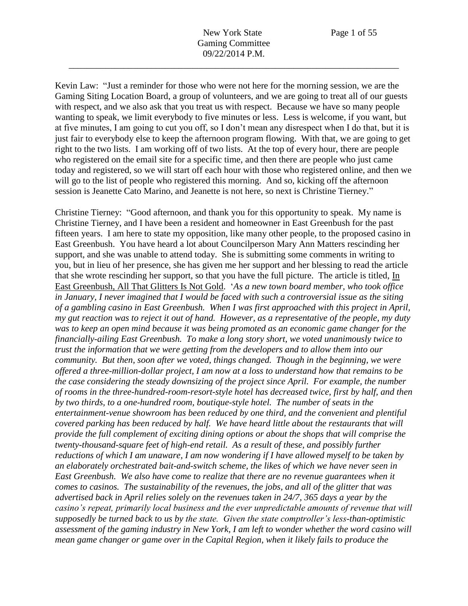Kevin Law: "Just a reminder for those who were not here for the morning session, we are the Gaming Siting Location Board, a group of volunteers, and we are going to treat all of our guests with respect, and we also ask that you treat us with respect. Because we have so many people wanting to speak, we limit everybody to five minutes or less. Less is welcome, if you want, but at five minutes, I am going to cut you off, so I don't mean any disrespect when I do that, but it is just fair to everybody else to keep the afternoon program flowing. With that, we are going to get right to the two lists. I am working off of two lists. At the top of every hour, there are people who registered on the email site for a specific time, and then there are people who just came today and registered, so we will start off each hour with those who registered online, and then we will go to the list of people who registered this morning. And so, kicking off the afternoon session is Jeanette Cato Marino, and Jeanette is not here, so next is Christine Tierney."

Christine Tierney: "Good afternoon, and thank you for this opportunity to speak. My name is Christine Tierney, and I have been a resident and homeowner in East Greenbush for the past fifteen years. I am here to state my opposition, like many other people, to the proposed casino in East Greenbush. You have heard a lot about Councilperson Mary Ann Matters rescinding her support, and she was unable to attend today. She is submitting some comments in writing to you, but in lieu of her presence, she has given me her support and her blessing to read the article that she wrote rescinding her support, so that you have the full picture. The article is titled, In East Greenbush, All That Glitters Is Not Gold. '*As a new town board member, who took office in January, I never imagined that I would be faced with such a controversial issue as the siting of a gambling casino in East Greenbush. When I was first approached with this project in April, my gut reaction was to reject it out of hand. However, as a representative of the people, my duty was to keep an open mind because it was being promoted as an economic game changer for the financially-ailing East Greenbush. To make a long story short, we voted unanimously twice to trust the information that we were getting from the developers and to allow them into our community. But then, soon after we voted, things changed. Though in the beginning, we were offered a three-million-dollar project, I am now at a loss to understand how that remains to be the case considering the steady downsizing of the project since April. For example, the number of rooms in the three-hundred-room-resort-style hotel has decreased twice, first by half, and then by two thirds, to a one-hundred room, boutique-style hotel. The number of seats in the entertainment-venue showroom has been reduced by one third, and the convenient and plentiful covered parking has been reduced by half. We have heard little about the restaurants that will provide the full complement of exciting dining options or about the shops that will comprise the twenty-thousand-square feet of high-end retail. As a result of these, and possibly further reductions of which I am unaware, I am now wondering if I have allowed myself to be taken by an elaborately orchestrated bait-and-switch scheme, the likes of which we have never seen in East Greenbush. We also have come to realize that there are no revenue guarantees when it comes to casinos. The sustainability of the revenues, the jobs, and all of the glitter that was advertised back in April relies solely on the revenues taken in 24/7, 365 days a year by the casino's repeat, primarily local business and the ever unpredictable amounts of revenue that will supposedly be turned back to us by the state. Given the state comptroller's less-than-optimistic assessment of the gaming industry in New York, I am left to wonder whether the word casino will mean game changer or game over in the Capital Region, when it likely fails to produce the*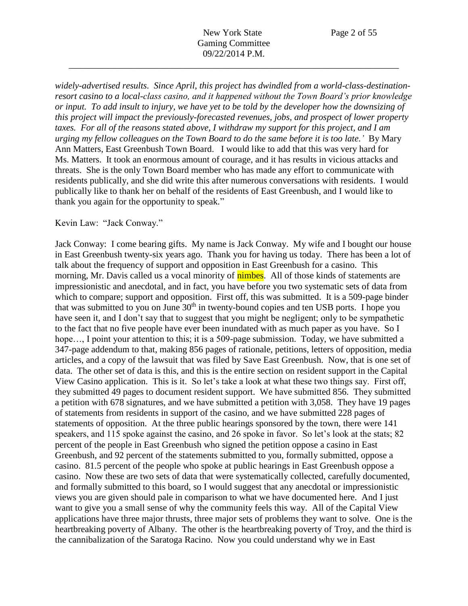*widely-advertised results. Since April, this project has dwindled from a world-class-destinationresort casino to a local-class casino, and it happened without the Town Board's prior knowledge or input. To add insult to injury, we have yet to be told by the developer how the downsizing of this project will impact the previously-forecasted revenues, jobs, and prospect of lower property taxes. For all of the reasons stated above, I withdraw my support for this project, and I am urging my fellow colleagues on the Town Board to do the same before it is too late.'* By Mary Ann Matters, East Greenbush Town Board. I would like to add that this was very hard for Ms. Matters. It took an enormous amount of courage, and it has results in vicious attacks and threats. She is the only Town Board member who has made any effort to communicate with residents publically, and she did write this after numerous conversations with residents. I would publically like to thank her on behalf of the residents of East Greenbush, and I would like to thank you again for the opportunity to speak."

#### Kevin Law: "Jack Conway."

Jack Conway: I come bearing gifts. My name is Jack Conway. My wife and I bought our house in East Greenbush twenty-six years ago. Thank you for having us today. There has been a lot of talk about the frequency of support and opposition in East Greenbush for a casino. This morning, Mr. Davis called us a vocal minority of **nimbes**. All of those kinds of statements are impressionistic and anecdotal, and in fact, you have before you two systematic sets of data from which to compare; support and opposition. First off, this was submitted. It is a 509-page binder that was submitted to you on June  $30<sup>th</sup>$  in twenty-bound copies and ten USB ports. I hope you have seen it, and I don't say that to suggest that you might be negligent; only to be sympathetic to the fact that no five people have ever been inundated with as much paper as you have. So I hope..., I point your attention to this; it is a 509-page submission. Today, we have submitted a 347-page addendum to that, making 856 pages of rationale, petitions, letters of opposition, media articles, and a copy of the lawsuit that was filed by Save East Greenbush. Now, that is one set of data. The other set of data is this, and this is the entire section on resident support in the Capital View Casino application. This is it. So let's take a look at what these two things say. First off, they submitted 49 pages to document resident support. We have submitted 856. They submitted a petition with 678 signatures, and we have submitted a petition with 3,058. They have 19 pages of statements from residents in support of the casino, and we have submitted 228 pages of statements of opposition. At the three public hearings sponsored by the town, there were 141 speakers, and 115 spoke against the casino, and 26 spoke in favor. So let's look at the stats; 82 percent of the people in East Greenbush who signed the petition oppose a casino in East Greenbush, and 92 percent of the statements submitted to you, formally submitted, oppose a casino. 81.5 percent of the people who spoke at public hearings in East Greenbush oppose a casino. Now these are two sets of data that were systematically collected, carefully documented, and formally submitted to this board, so I would suggest that any anecdotal or impressionistic views you are given should pale in comparison to what we have documented here. And I just want to give you a small sense of why the community feels this way. All of the Capital View applications have three major thrusts, three major sets of problems they want to solve. One is the heartbreaking poverty of Albany. The other is the heartbreaking poverty of Troy, and the third is the cannibalization of the Saratoga Racino. Now you could understand why we in East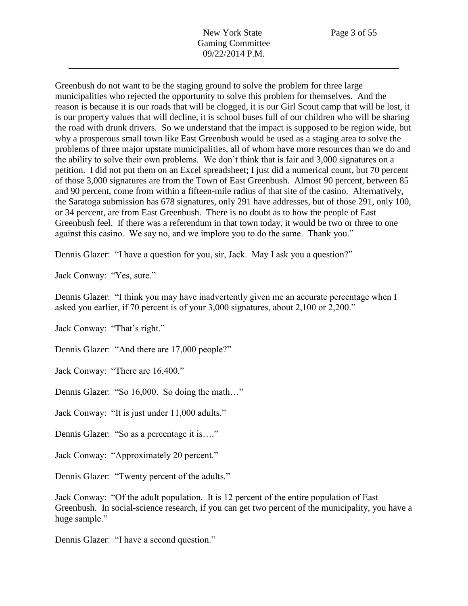Greenbush do not want to be the staging ground to solve the problem for three large municipalities who rejected the opportunity to solve this problem for themselves. And the reason is because it is our roads that will be clogged, it is our Girl Scout camp that will be lost, it is our property values that will decline, it is school buses full of our children who will be sharing the road with drunk drivers. So we understand that the impact is supposed to be region wide, but why a prosperous small town like East Greenbush would be used as a staging area to solve the problems of three major upstate municipalities, all of whom have more resources than we do and the ability to solve their own problems. We don't think that is fair and 3,000 signatures on a petition. I did not put them on an Excel spreadsheet; I just did a numerical count, but 70 percent of those 3,000 signatures are from the Town of East Greenbush. Almost 90 percent, between 85 and 90 percent, come from within a fifteen-mile radius of that site of the casino. Alternatively, the Saratoga submission has 678 signatures, only 291 have addresses, but of those 291, only 100, or 34 percent, are from East Greenbush. There is no doubt as to how the people of East Greenbush feel. If there was a referendum in that town today, it would be two or three to one against this casino. We say no, and we implore you to do the same. Thank you."

Dennis Glazer: "I have a question for you, sir, Jack. May I ask you a question?"

Jack Conway: "Yes, sure."

Dennis Glazer: "I think you may have inadvertently given me an accurate percentage when I asked you earlier, if 70 percent is of your 3,000 signatures, about 2,100 or 2,200."

Jack Conway: "That's right."

Dennis Glazer: "And there are 17,000 people?"

Jack Conway: "There are 16,400."

Dennis Glazer: "So 16,000. So doing the math…"

Jack Conway: "It is just under 11,000 adults."

Dennis Glazer: "So as a percentage it is…."

Jack Conway: "Approximately 20 percent."

Dennis Glazer: "Twenty percent of the adults."

Jack Conway: "Of the adult population. It is 12 percent of the entire population of East Greenbush. In social-science research, if you can get two percent of the municipality, you have a huge sample."

Dennis Glazer: "I have a second question."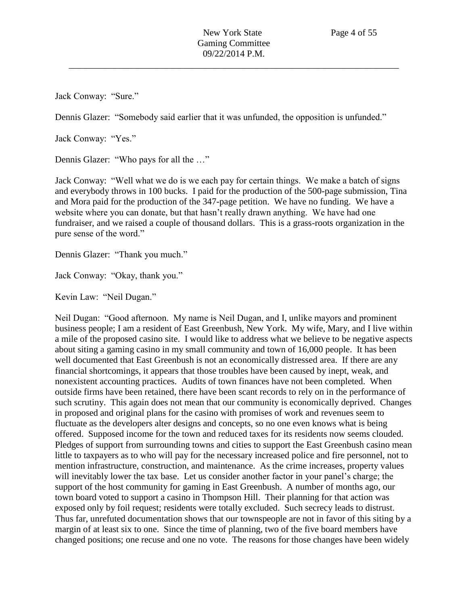Jack Conway: "Sure."

Dennis Glazer: "Somebody said earlier that it was unfunded, the opposition is unfunded."

Jack Conway: "Yes."

Dennis Glazer: "Who pays for all the …"

Jack Conway: "Well what we do is we each pay for certain things. We make a batch of signs and everybody throws in 100 bucks. I paid for the production of the 500-page submission, Tina and Mora paid for the production of the 347-page petition. We have no funding. We have a website where you can donate, but that hasn't really drawn anything. We have had one fundraiser, and we raised a couple of thousand dollars. This is a grass-roots organization in the pure sense of the word."

Dennis Glazer: "Thank you much."

Jack Conway: "Okay, thank you."

Kevin Law: "Neil Dugan."

Neil Dugan: "Good afternoon. My name is Neil Dugan, and I, unlike mayors and prominent business people; I am a resident of East Greenbush, New York. My wife, Mary, and I live within a mile of the proposed casino site. I would like to address what we believe to be negative aspects about siting a gaming casino in my small community and town of 16,000 people. It has been well documented that East Greenbush is not an economically distressed area. If there are any financial shortcomings, it appears that those troubles have been caused by inept, weak, and nonexistent accounting practices. Audits of town finances have not been completed. When outside firms have been retained, there have been scant records to rely on in the performance of such scrutiny. This again does not mean that our community is economically deprived. Changes in proposed and original plans for the casino with promises of work and revenues seem to fluctuate as the developers alter designs and concepts, so no one even knows what is being offered. Supposed income for the town and reduced taxes for its residents now seems clouded. Pledges of support from surrounding towns and cities to support the East Greenbush casino mean little to taxpayers as to who will pay for the necessary increased police and fire personnel, not to mention infrastructure, construction, and maintenance. As the crime increases, property values will inevitably lower the tax base. Let us consider another factor in your panel's charge; the support of the host community for gaming in East Greenbush. A number of months ago, our town board voted to support a casino in Thompson Hill. Their planning for that action was exposed only by foil request; residents were totally excluded. Such secrecy leads to distrust. Thus far, unrefuted documentation shows that our townspeople are not in favor of this siting by a margin of at least six to one. Since the time of planning, two of the five board members have changed positions; one recuse and one no vote. The reasons for those changes have been widely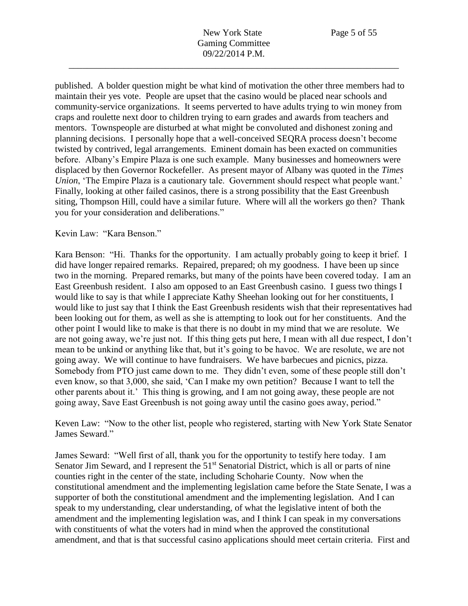published. A bolder question might be what kind of motivation the other three members had to maintain their yes vote. People are upset that the casino would be placed near schools and community-service organizations. It seems perverted to have adults trying to win money from craps and roulette next door to children trying to earn grades and awards from teachers and mentors. Townspeople are disturbed at what might be convoluted and dishonest zoning and planning decisions. I personally hope that a well-conceived SEQRA process doesn't become twisted by contrived, legal arrangements. Eminent domain has been exacted on communities before. Albany's Empire Plaza is one such example. Many businesses and homeowners were displaced by then Governor Rockefeller. As present mayor of Albany was quoted in the *Times Union*, 'The Empire Plaza is a cautionary tale. Government should respect what people want.' Finally, looking at other failed casinos, there is a strong possibility that the East Greenbush siting, Thompson Hill, could have a similar future. Where will all the workers go then? Thank you for your consideration and deliberations."

## Kevin Law: "Kara Benson."

Kara Benson: "Hi. Thanks for the opportunity. I am actually probably going to keep it brief. I did have longer repaired remarks. Repaired, prepared; oh my goodness. I have been up since two in the morning. Prepared remarks, but many of the points have been covered today. I am an East Greenbush resident. I also am opposed to an East Greenbush casino. I guess two things I would like to say is that while I appreciate Kathy Sheehan looking out for her constituents, I would like to just say that I think the East Greenbush residents wish that their representatives had been looking out for them, as well as she is attempting to look out for her constituents. And the other point I would like to make is that there is no doubt in my mind that we are resolute. We are not going away, we're just not. If this thing gets put here, I mean with all due respect, I don't mean to be unkind or anything like that, but it's going to be havoc. We are resolute, we are not going away. We will continue to have fundraisers. We have barbecues and picnics, pizza. Somebody from PTO just came down to me. They didn't even, some of these people still don't even know, so that 3,000, she said, 'Can I make my own petition? Because I want to tell the other parents about it.' This thing is growing, and I am not going away, these people are not going away, Save East Greenbush is not going away until the casino goes away, period."

Keven Law: "Now to the other list, people who registered, starting with New York State Senator James Seward."

James Seward: "Well first of all, thank you for the opportunity to testify here today. I am Senator Jim Seward, and I represent the 51<sup>st</sup> Senatorial District, which is all or parts of nine counties right in the center of the state, including Schoharie County. Now when the constitutional amendment and the implementing legislation came before the State Senate, I was a supporter of both the constitutional amendment and the implementing legislation. And I can speak to my understanding, clear understanding, of what the legislative intent of both the amendment and the implementing legislation was, and I think I can speak in my conversations with constituents of what the voters had in mind when the approved the constitutional amendment, and that is that successful casino applications should meet certain criteria. First and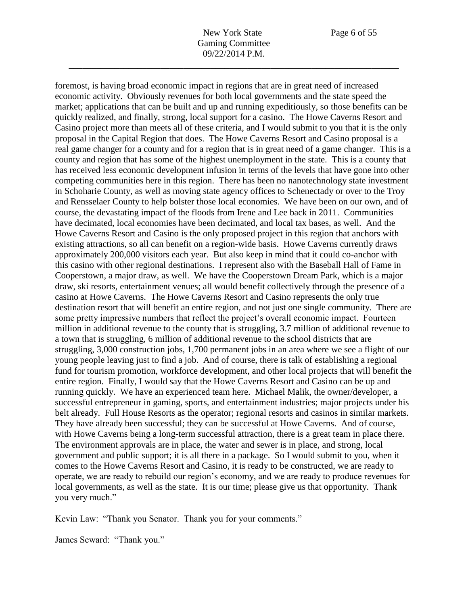foremost, is having broad economic impact in regions that are in great need of increased

economic activity. Obviously revenues for both local governments and the state speed the market; applications that can be built and up and running expeditiously, so those benefits can be quickly realized, and finally, strong, local support for a casino. The Howe Caverns Resort and Casino project more than meets all of these criteria, and I would submit to you that it is the only proposal in the Capital Region that does. The Howe Caverns Resort and Casino proposal is a real game changer for a county and for a region that is in great need of a game changer. This is a county and region that has some of the highest unemployment in the state. This is a county that has received less economic development infusion in terms of the levels that have gone into other competing communities here in this region. There has been no nanotechnology state investment in Schoharie County, as well as moving state agency offices to Schenectady or over to the Troy and Rensselaer County to help bolster those local economies. We have been on our own, and of course, the devastating impact of the floods from Irene and Lee back in 2011. Communities have decimated, local economies have been decimated, and local tax bases, as well. And the Howe Caverns Resort and Casino is the only proposed project in this region that anchors with existing attractions, so all can benefit on a region-wide basis. Howe Caverns currently draws approximately 200,000 visitors each year. But also keep in mind that it could co-anchor with this casino with other regional destinations. I represent also with the Baseball Hall of Fame in Cooperstown, a major draw, as well. We have the Cooperstown Dream Park, which is a major draw, ski resorts, entertainment venues; all would benefit collectively through the presence of a casino at Howe Caverns. The Howe Caverns Resort and Casino represents the only true destination resort that will benefit an entire region, and not just one single community. There are some pretty impressive numbers that reflect the project's overall economic impact. Fourteen million in additional revenue to the county that is struggling, 3.7 million of additional revenue to a town that is struggling, 6 million of additional revenue to the school districts that are struggling, 3,000 construction jobs, 1,700 permanent jobs in an area where we see a flight of our young people leaving just to find a job. And of course, there is talk of establishing a regional fund for tourism promotion, workforce development, and other local projects that will benefit the entire region. Finally, I would say that the Howe Caverns Resort and Casino can be up and running quickly. We have an experienced team here. Michael Malik, the owner/developer, a successful entrepreneur in gaming, sports, and entertainment industries; major projects under his belt already. Full House Resorts as the operator; regional resorts and casinos in similar markets. They have already been successful; they can be successful at Howe Caverns. And of course, with Howe Caverns being a long-term successful attraction, there is a great team in place there. The environment approvals are in place, the water and sewer is in place, and strong, local government and public support; it is all there in a package. So I would submit to you, when it comes to the Howe Caverns Resort and Casino, it is ready to be constructed, we are ready to operate, we are ready to rebuild our region's economy, and we are ready to produce revenues for local governments, as well as the state. It is our time; please give us that opportunity. Thank you very much."

Kevin Law: "Thank you Senator. Thank you for your comments."

James Seward: "Thank you."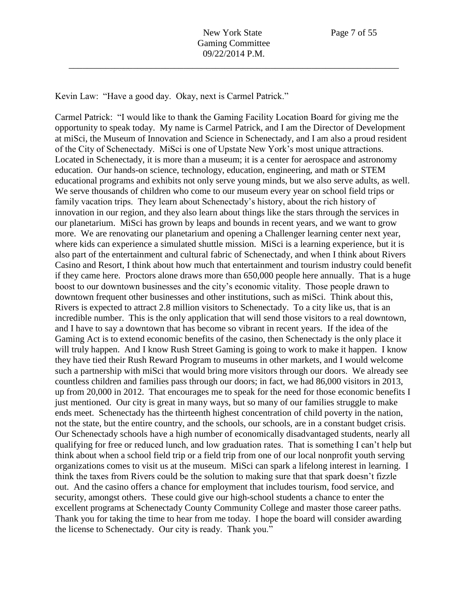Kevin Law: "Have a good day. Okay, next is Carmel Patrick."

Carmel Patrick: "I would like to thank the Gaming Facility Location Board for giving me the opportunity to speak today. My name is Carmel Patrick, and I am the Director of Development at miSci, the Museum of Innovation and Science in Schenectady, and I am also a proud resident of the City of Schenectady. MiSci is one of Upstate New York's most unique attractions. Located in Schenectady, it is more than a museum; it is a center for aerospace and astronomy education. Our hands-on science, technology, education, engineering, and math or STEM educational programs and exhibits not only serve young minds, but we also serve adults, as well. We serve thousands of children who come to our museum every year on school field trips or family vacation trips. They learn about Schenectady's history, about the rich history of innovation in our region, and they also learn about things like the stars through the services in our planetarium. MiSci has grown by leaps and bounds in recent years, and we want to grow more. We are renovating our planetarium and opening a Challenger learning center next year, where kids can experience a simulated shuttle mission. MiSci is a learning experience, but it is also part of the entertainment and cultural fabric of Schenectady, and when I think about Rivers Casino and Resort, I think about how much that entertainment and tourism industry could benefit if they came here. Proctors alone draws more than 650,000 people here annually. That is a huge boost to our downtown businesses and the city's economic vitality. Those people drawn to downtown frequent other businesses and other institutions, such as miSci. Think about this, Rivers is expected to attract 2.8 million visitors to Schenectady. To a city like us, that is an incredible number. This is the only application that will send those visitors to a real downtown, and I have to say a downtown that has become so vibrant in recent years. If the idea of the Gaming Act is to extend economic benefits of the casino, then Schenectady is the only place it will truly happen. And I know Rush Street Gaming is going to work to make it happen. I know they have tied their Rush Reward Program to museums in other markets, and I would welcome such a partnership with miSci that would bring more visitors through our doors. We already see countless children and families pass through our doors; in fact, we had 86,000 visitors in 2013, up from 20,000 in 2012. That encourages me to speak for the need for those economic benefits I just mentioned. Our city is great in many ways, but so many of our families struggle to make ends meet. Schenectady has the thirteenth highest concentration of child poverty in the nation, not the state, but the entire country, and the schools, our schools, are in a constant budget crisis. Our Schenectady schools have a high number of economically disadvantaged students, nearly all qualifying for free or reduced lunch, and low graduation rates. That is something I can't help but think about when a school field trip or a field trip from one of our local nonprofit youth serving organizations comes to visit us at the museum. MiSci can spark a lifelong interest in learning. I think the taxes from Rivers could be the solution to making sure that that spark doesn't fizzle out. And the casino offers a chance for employment that includes tourism, food service, and security, amongst others. These could give our high-school students a chance to enter the excellent programs at Schenectady County Community College and master those career paths. Thank you for taking the time to hear from me today. I hope the board will consider awarding the license to Schenectady. Our city is ready. Thank you."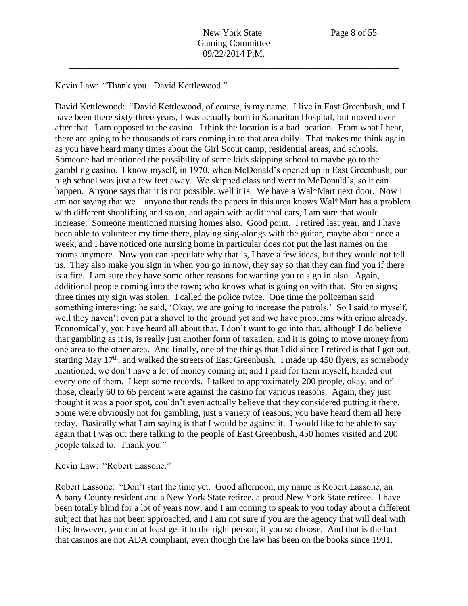Kevin Law: "Thank you. David Kettlewood."

David Kettlewood: "David Kettlewood, of course, is my name. I live in East Greenbush, and I have been there sixty-three years, I was actually born in Samaritan Hospital, but moved over after that. I am opposed to the casino. I think the location is a bad location. From what I hear, there are going to be thousands of cars coming in to that area daily. That makes me think again as you have heard many times about the Girl Scout camp, residential areas, and schools. Someone had mentioned the possibility of some kids skipping school to maybe go to the gambling casino. I know myself, in 1970, when McDonald's opened up in East Greenbush, our high school was just a few feet away. We skipped class and went to McDonald's, so it can happen. Anyone says that it is not possible, well it is. We have a Wal\*Mart next door. Now I am not saying that we…anyone that reads the papers in this area knows Wal\*Mart has a problem with different shoplifting and so on, and again with additional cars, I am sure that would increase. Someone mentioned nursing homes also. Good point. I retired last year, and I have been able to volunteer my time there, playing sing-alongs with the guitar, maybe about once a week, and I have noticed one nursing home in particular does not put the last names on the rooms anymore. Now you can speculate why that is, I have a few ideas, but they would not tell us. They also make you sign in when you go in now, they say so that they can find you if there is a fire. I am sure they have some other reasons for wanting you to sign in also. Again, additional people coming into the town; who knows what is going on with that. Stolen signs; three times my sign was stolen. I called the police twice. One time the policeman said something interesting; he said, 'Okay, we are going to increase the patrols.' So I said to myself, well they haven't even put a shovel to the ground yet and we have problems with crime already. Economically, you have heard all about that, I don't want to go into that, although I do believe that gambling as it is, is really just another form of taxation, and it is going to move money from one area to the other area. And finally, one of the things that I did since I retired is that I got out, starting May  $17<sup>th</sup>$ , and walked the streets of East Greenbush. I made up 450 flyers, as somebody mentioned, we don't have a lot of money coming in, and I paid for them myself, handed out every one of them. I kept some records. I talked to approximately 200 people, okay, and of those, clearly 60 to 65 percent were against the casino for various reasons. Again, they just thought it was a poor spot, couldn't even actually believe that they considered putting it there. Some were obviously not for gambling, just a variety of reasons; you have heard them all here today. Basically what I am saying is that I would be against it. I would like to be able to say again that I was out there talking to the people of East Greenbush, 450 homes visited and 200 people talked to. Thank you."

Kevin Law: "Robert Lassone."

Robert Lassone: "Don't start the time yet. Good afternoon, my name is Robert Lassone, an Albany County resident and a New York State retiree, a proud New York State retiree. I have been totally blind for a lot of years now, and I am coming to speak to you today about a different subject that has not been approached, and I am not sure if you are the agency that will deal with this; however, you can at least get it to the right person, if you so choose. And that is the fact that casinos are not ADA compliant, even though the law has been on the books since 1991,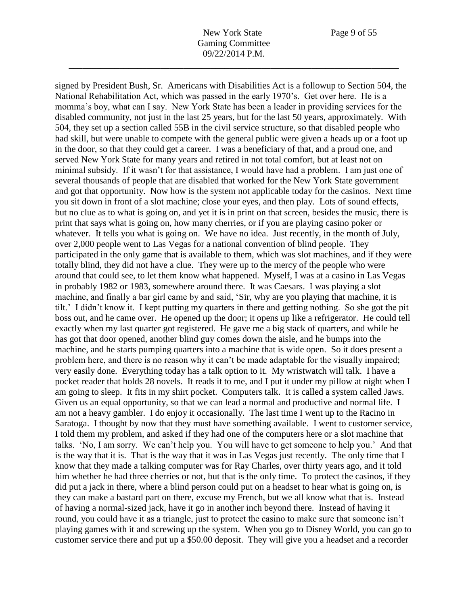signed by President Bush, Sr. Americans with Disabilities Act is a followup to Section 504, the National Rehabilitation Act, which was passed in the early 1970's. Get over here. He is a momma's boy, what can I say. New York State has been a leader in providing services for the disabled community, not just in the last 25 years, but for the last 50 years, approximately. With 504, they set up a section called 55B in the civil service structure, so that disabled people who had skill, but were unable to compete with the general public were given a heads up or a foot up in the door, so that they could get a career. I was a beneficiary of that, and a proud one, and served New York State for many years and retired in not total comfort, but at least not on minimal subsidy. If it wasn't for that assistance, I would have had a problem. I am just one of several thousands of people that are disabled that worked for the New York State government and got that opportunity. Now how is the system not applicable today for the casinos. Next time you sit down in front of a slot machine; close your eyes, and then play. Lots of sound effects, but no clue as to what is going on, and yet it is in print on that screen, besides the music, there is print that says what is going on, how many cherries, or if you are playing casino poker or whatever. It tells you what is going on. We have no idea. Just recently, in the month of July, over 2,000 people went to Las Vegas for a national convention of blind people. They participated in the only game that is available to them, which was slot machines, and if they were totally blind, they did not have a clue. They were up to the mercy of the people who were around that could see, to let them know what happened. Myself, I was at a casino in Las Vegas in probably 1982 or 1983, somewhere around there. It was Caesars. I was playing a slot machine, and finally a bar girl came by and said, 'Sir, why are you playing that machine, it is tilt.' I didn't know it. I kept putting my quarters in there and getting nothing. So she got the pit boss out, and he came over. He opened up the door; it opens up like a refrigerator. He could tell exactly when my last quarter got registered. He gave me a big stack of quarters, and while he has got that door opened, another blind guy comes down the aisle, and he bumps into the machine, and he starts pumping quarters into a machine that is wide open. So it does present a problem here, and there is no reason why it can't be made adaptable for the visually impaired; very easily done. Everything today has a talk option to it. My wristwatch will talk. I have a pocket reader that holds 28 novels. It reads it to me, and I put it under my pillow at night when I am going to sleep. It fits in my shirt pocket. Computers talk. It is called a system called Jaws. Given us an equal opportunity, so that we can lead a normal and productive and normal life. I am not a heavy gambler. I do enjoy it occasionally. The last time I went up to the Racino in Saratoga. I thought by now that they must have something available. I went to customer service, I told them my problem, and asked if they had one of the computers here or a slot machine that talks. 'No, I am sorry. We can't help you. You will have to get someone to help you.' And that is the way that it is. That is the way that it was in Las Vegas just recently. The only time that I know that they made a talking computer was for Ray Charles, over thirty years ago, and it told him whether he had three cherries or not, but that is the only time. To protect the casinos, if they did put a jack in there, where a blind person could put on a headset to hear what is going on, is they can make a bastard part on there, excuse my French, but we all know what that is. Instead of having a normal-sized jack, have it go in another inch beyond there. Instead of having it round, you could have it as a triangle, just to protect the casino to make sure that someone isn't playing games with it and screwing up the system. When you go to Disney World, you can go to customer service there and put up a \$50.00 deposit. They will give you a headset and a recorder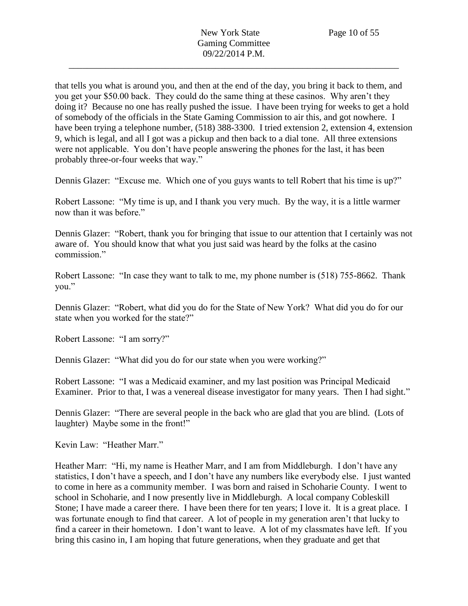that tells you what is around you, and then at the end of the day, you bring it back to them, and you get your \$50.00 back. They could do the same thing at these casinos. Why aren't they doing it? Because no one has really pushed the issue. I have been trying for weeks to get a hold of somebody of the officials in the State Gaming Commission to air this, and got nowhere. I have been trying a telephone number, (518) 388-3300. I tried extension 2, extension 4, extension 9, which is legal, and all I got was a pickup and then back to a dial tone. All three extensions were not applicable. You don't have people answering the phones for the last, it has been probably three-or-four weeks that way."

Dennis Glazer: "Excuse me. Which one of you guys wants to tell Robert that his time is up?"

Robert Lassone: "My time is up, and I thank you very much. By the way, it is a little warmer now than it was before."

Dennis Glazer: "Robert, thank you for bringing that issue to our attention that I certainly was not aware of. You should know that what you just said was heard by the folks at the casino commission."

Robert Lassone: "In case they want to talk to me, my phone number is (518) 755-8662. Thank you."

Dennis Glazer: "Robert, what did you do for the State of New York? What did you do for our state when you worked for the state?"

Robert Lassone: "I am sorry?"

Dennis Glazer: "What did you do for our state when you were working?"

Robert Lassone: "I was a Medicaid examiner, and my last position was Principal Medicaid Examiner. Prior to that, I was a venereal disease investigator for many years. Then I had sight."

Dennis Glazer: "There are several people in the back who are glad that you are blind. (Lots of laughter) Maybe some in the front!"

Kevin Law: "Heather Marr."

Heather Marr: "Hi, my name is Heather Marr, and I am from Middleburgh. I don't have any statistics, I don't have a speech, and I don't have any numbers like everybody else. I just wanted to come in here as a community member. I was born and raised in Schoharie County. I went to school in Schoharie, and I now presently live in Middleburgh. A local company Cobleskill Stone; I have made a career there. I have been there for ten years; I love it. It is a great place. I was fortunate enough to find that career. A lot of people in my generation aren't that lucky to find a career in their hometown. I don't want to leave. A lot of my classmates have left. If you bring this casino in, I am hoping that future generations, when they graduate and get that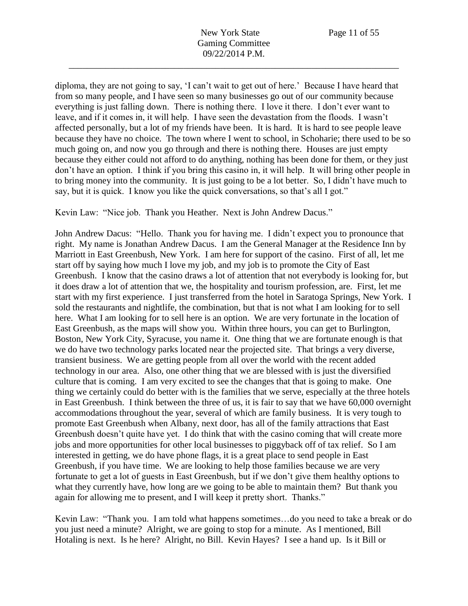diploma, they are not going to say, 'I can't wait to get out of here.' Because I have heard that from so many people, and I have seen so many businesses go out of our community because everything is just falling down. There is nothing there. I love it there. I don't ever want to leave, and if it comes in, it will help. I have seen the devastation from the floods. I wasn't affected personally, but a lot of my friends have been. It is hard. It is hard to see people leave because they have no choice. The town where I went to school, in Schoharie; there used to be so much going on, and now you go through and there is nothing there. Houses are just empty because they either could not afford to do anything, nothing has been done for them, or they just don't have an option. I think if you bring this casino in, it will help. It will bring other people in to bring money into the community. It is just going to be a lot better. So, I didn't have much to say, but it is quick. I know you like the quick conversations, so that's all I got."

Kevin Law: "Nice job. Thank you Heather. Next is John Andrew Dacus."

John Andrew Dacus: "Hello. Thank you for having me. I didn't expect you to pronounce that right. My name is Jonathan Andrew Dacus. I am the General Manager at the Residence Inn by Marriott in East Greenbush, New York. I am here for support of the casino. First of all, let me start off by saying how much I love my job, and my job is to promote the City of East Greenbush. I know that the casino draws a lot of attention that not everybody is looking for, but it does draw a lot of attention that we, the hospitality and tourism profession, are. First, let me start with my first experience. I just transferred from the hotel in Saratoga Springs, New York. I sold the restaurants and nightlife, the combination, but that is not what I am looking for to sell here. What I am looking for to sell here is an option. We are very fortunate in the location of East Greenbush, as the maps will show you. Within three hours, you can get to Burlington, Boston, New York City, Syracuse, you name it. One thing that we are fortunate enough is that we do have two technology parks located near the projected site. That brings a very diverse, transient business. We are getting people from all over the world with the recent added technology in our area. Also, one other thing that we are blessed with is just the diversified culture that is coming. I am very excited to see the changes that that is going to make. One thing we certainly could do better with is the families that we serve, especially at the three hotels in East Greenbush. I think between the three of us, it is fair to say that we have 60,000 overnight accommodations throughout the year, several of which are family business. It is very tough to promote East Greenbush when Albany, next door, has all of the family attractions that East Greenbush doesn't quite have yet. I do think that with the casino coming that will create more jobs and more opportunities for other local businesses to piggyback off of tax relief. So I am interested in getting, we do have phone flags, it is a great place to send people in East Greenbush, if you have time. We are looking to help those families because we are very fortunate to get a lot of guests in East Greenbush, but if we don't give them healthy options to what they currently have, how long are we going to be able to maintain them? But thank you again for allowing me to present, and I will keep it pretty short. Thanks."

Kevin Law: "Thank you. I am told what happens sometimes…do you need to take a break or do you just need a minute? Alright, we are going to stop for a minute. As I mentioned, Bill Hotaling is next. Is he here? Alright, no Bill. Kevin Hayes? I see a hand up. Is it Bill or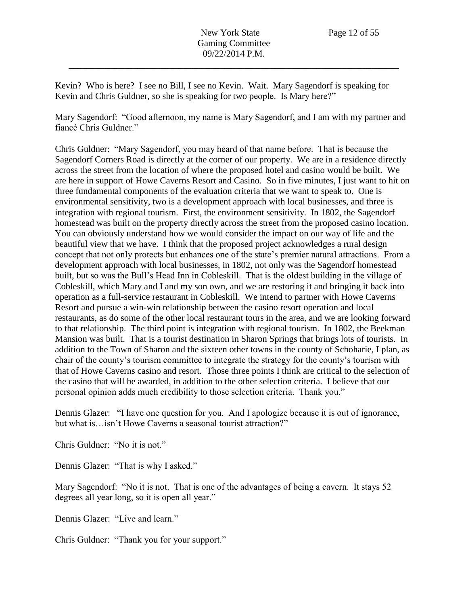Kevin? Who is here? I see no Bill, I see no Kevin. Wait. Mary Sagendorf is speaking for Kevin and Chris Guldner, so she is speaking for two people. Is Mary here?"

Mary Sagendorf: "Good afternoon, my name is Mary Sagendorf, and I am with my partner and fiancé Chris Guldner."

Chris Guldner: "Mary Sagendorf, you may heard of that name before. That is because the Sagendorf Corners Road is directly at the corner of our property. We are in a residence directly across the street from the location of where the proposed hotel and casino would be built. We are here in support of Howe Caverns Resort and Casino. So in five minutes, I just want to hit on three fundamental components of the evaluation criteria that we want to speak to. One is environmental sensitivity, two is a development approach with local businesses, and three is integration with regional tourism. First, the environment sensitivity. In 1802, the Sagendorf homestead was built on the property directly across the street from the proposed casino location. You can obviously understand how we would consider the impact on our way of life and the beautiful view that we have. I think that the proposed project acknowledges a rural design concept that not only protects but enhances one of the state's premier natural attractions. From a development approach with local businesses, in 1802, not only was the Sagendorf homestead built, but so was the Bull's Head Inn in Cobleskill. That is the oldest building in the village of Cobleskill, which Mary and I and my son own, and we are restoring it and bringing it back into operation as a full-service restaurant in Cobleskill. We intend to partner with Howe Caverns Resort and pursue a win-win relationship between the casino resort operation and local restaurants, as do some of the other local restaurant tours in the area, and we are looking forward to that relationship. The third point is integration with regional tourism. In 1802, the Beekman Mansion was built. That is a tourist destination in Sharon Springs that brings lots of tourists. In addition to the Town of Sharon and the sixteen other towns in the county of Schoharie, I plan, as chair of the county's tourism committee to integrate the strategy for the county's tourism with that of Howe Caverns casino and resort. Those three points I think are critical to the selection of the casino that will be awarded, in addition to the other selection criteria. I believe that our personal opinion adds much credibility to those selection criteria. Thank you."

Dennis Glazer: "I have one question for you. And I apologize because it is out of ignorance, but what is…isn't Howe Caverns a seasonal tourist attraction?"

Chris Guldner: "No it is not."

Dennis Glazer: "That is why I asked."

Mary Sagendorf: "No it is not. That is one of the advantages of being a cavern. It stays 52 degrees all year long, so it is open all year."

Dennis Glazer: "Live and learn."

Chris Guldner: "Thank you for your support."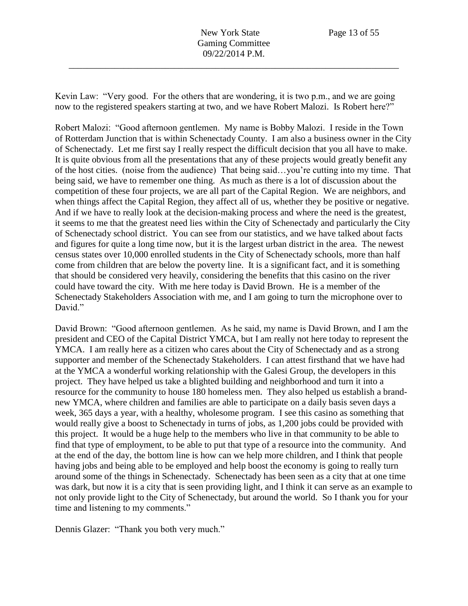Kevin Law: "Very good. For the others that are wondering, it is two p.m., and we are going now to the registered speakers starting at two, and we have Robert Malozi. Is Robert here?"

Robert Malozi: "Good afternoon gentlemen. My name is Bobby Malozi. I reside in the Town of Rotterdam Junction that is within Schenectady County. I am also a business owner in the City of Schenectady. Let me first say I really respect the difficult decision that you all have to make. It is quite obvious from all the presentations that any of these projects would greatly benefit any of the host cities. (noise from the audience) That being said…you're cutting into my time. That being said, we have to remember one thing. As much as there is a lot of discussion about the competition of these four projects, we are all part of the Capital Region. We are neighbors, and when things affect the Capital Region, they affect all of us, whether they be positive or negative. And if we have to really look at the decision-making process and where the need is the greatest, it seems to me that the greatest need lies within the City of Schenectady and particularly the City of Schenectady school district. You can see from our statistics, and we have talked about facts and figures for quite a long time now, but it is the largest urban district in the area. The newest census states over 10,000 enrolled students in the City of Schenectady schools, more than half come from children that are below the poverty line. It is a significant fact, and it is something that should be considered very heavily, considering the benefits that this casino on the river could have toward the city. With me here today is David Brown. He is a member of the Schenectady Stakeholders Association with me, and I am going to turn the microphone over to David."

David Brown: "Good afternoon gentlemen. As he said, my name is David Brown, and I am the president and CEO of the Capital District YMCA, but I am really not here today to represent the YMCA. I am really here as a citizen who cares about the City of Schenectady and as a strong supporter and member of the Schenectady Stakeholders. I can attest firsthand that we have had at the YMCA a wonderful working relationship with the Galesi Group, the developers in this project. They have helped us take a blighted building and neighborhood and turn it into a resource for the community to house 180 homeless men. They also helped us establish a brandnew YMCA, where children and families are able to participate on a daily basis seven days a week, 365 days a year, with a healthy, wholesome program. I see this casino as something that would really give a boost to Schenectady in turns of jobs, as 1,200 jobs could be provided with this project. It would be a huge help to the members who live in that community to be able to find that type of employment, to be able to put that type of a resource into the community. And at the end of the day, the bottom line is how can we help more children, and I think that people having jobs and being able to be employed and help boost the economy is going to really turn around some of the things in Schenectady. Schenectady has been seen as a city that at one time was dark, but now it is a city that is seen providing light, and I think it can serve as an example to not only provide light to the City of Schenectady, but around the world. So I thank you for your time and listening to my comments."

Dennis Glazer: "Thank you both very much."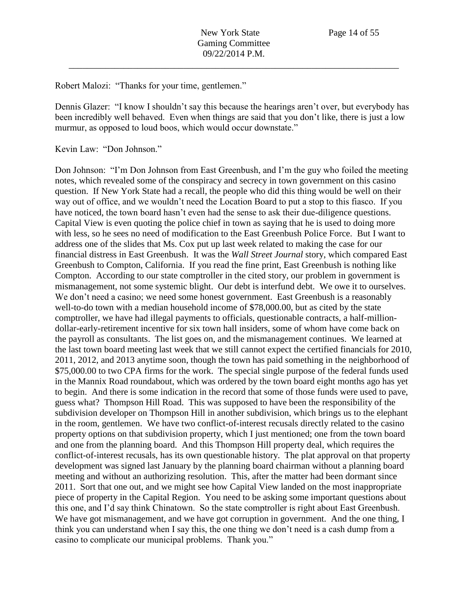Robert Malozi: "Thanks for your time, gentlemen."

Dennis Glazer: "I know I shouldn't say this because the hearings aren't over, but everybody has been incredibly well behaved. Even when things are said that you don't like, there is just a low murmur, as opposed to loud boos, which would occur downstate."

Kevin Law: "Don Johnson."

Don Johnson: "I'm Don Johnson from East Greenbush, and I'm the guy who foiled the meeting notes, which revealed some of the conspiracy and secrecy in town government on this casino question. If New York State had a recall, the people who did this thing would be well on their way out of office, and we wouldn't need the Location Board to put a stop to this fiasco. If you have noticed, the town board hasn't even had the sense to ask their due-diligence questions. Capital View is even quoting the police chief in town as saying that he is used to doing more with less, so he sees no need of modification to the East Greenbush Police Force. But I want to address one of the slides that Ms. Cox put up last week related to making the case for our financial distress in East Greenbush. It was the *Wall Street Journal* story, which compared East Greenbush to Compton, California. If you read the fine print, East Greenbush is nothing like Compton. According to our state comptroller in the cited story, our problem in government is mismanagement, not some systemic blight. Our debt is interfund debt. We owe it to ourselves. We don't need a casino; we need some honest government. East Greenbush is a reasonably well-to-do town with a median household income of \$78,000.00, but as cited by the state comptroller, we have had illegal payments to officials, questionable contracts, a half-milliondollar-early-retirement incentive for six town hall insiders, some of whom have come back on the payroll as consultants. The list goes on, and the mismanagement continues. We learned at the last town board meeting last week that we still cannot expect the certified financials for 2010, 2011, 2012, and 2013 anytime soon, though the town has paid something in the neighborhood of \$75,000.00 to two CPA firms for the work. The special single purpose of the federal funds used in the Mannix Road roundabout, which was ordered by the town board eight months ago has yet to begin. And there is some indication in the record that some of those funds were used to pave, guess what? Thompson Hill Road. This was supposed to have been the responsibility of the subdivision developer on Thompson Hill in another subdivision, which brings us to the elephant in the room, gentlemen. We have two conflict-of-interest recusals directly related to the casino property options on that subdivision property, which I just mentioned; one from the town board and one from the planning board. And this Thompson Hill property deal, which requires the conflict-of-interest recusals, has its own questionable history. The plat approval on that property development was signed last January by the planning board chairman without a planning board meeting and without an authorizing resolution. This, after the matter had been dormant since 2011. Sort that one out, and we might see how Capital View landed on the most inappropriate piece of property in the Capital Region. You need to be asking some important questions about this one, and I'd say think Chinatown. So the state comptroller is right about East Greenbush. We have got mismanagement, and we have got corruption in government. And the one thing, I think you can understand when I say this, the one thing we don't need is a cash dump from a casino to complicate our municipal problems. Thank you."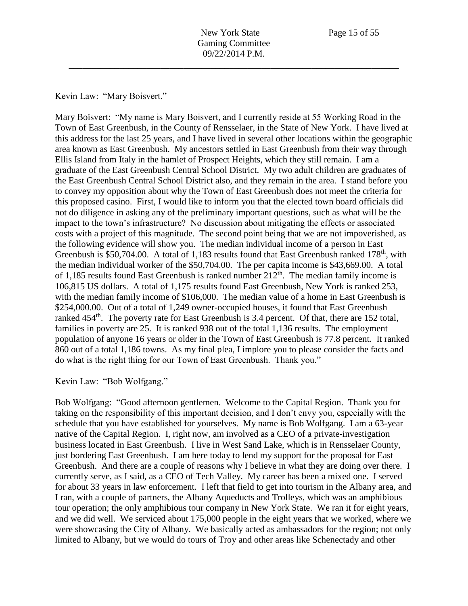Kevin Law: "Mary Boisvert."

Mary Boisvert: "My name is Mary Boisvert, and I currently reside at 55 Working Road in the Town of East Greenbush, in the County of Rensselaer, in the State of New York. I have lived at this address for the last 25 years, and I have lived in several other locations within the geographic area known as East Greenbush. My ancestors settled in East Greenbush from their way through Ellis Island from Italy in the hamlet of Prospect Heights, which they still remain. I am a graduate of the East Greenbush Central School District. My two adult children are graduates of the East Greenbush Central School District also, and they remain in the area. I stand before you to convey my opposition about why the Town of East Greenbush does not meet the criteria for this proposed casino. First, I would like to inform you that the elected town board officials did not do diligence in asking any of the preliminary important questions, such as what will be the impact to the town's infrastructure? No discussion about mitigating the effects or associated costs with a project of this magnitude. The second point being that we are not impoverished, as the following evidence will show you. The median individual income of a person in East Greenbush is \$50,704.00. A total of 1,183 results found that East Greenbush ranked 178<sup>th</sup>, with the median individual worker of the \$50,704.00. The per capita income is \$43,669.00. A total of 1,185 results found East Greenbush is ranked number  $212<sup>th</sup>$ . The median family income is 106,815 US dollars. A total of 1,175 results found East Greenbush, New York is ranked 253, with the median family income of \$106,000. The median value of a home in East Greenbush is \$254,000.00. Out of a total of 1,249 owner-occupied houses, it found that East Greenbush ranked  $454<sup>th</sup>$ . The poverty rate for East Greenbush is 3.4 percent. Of that, there are 152 total, families in poverty are 25. It is ranked 938 out of the total 1,136 results. The employment population of anyone 16 years or older in the Town of East Greenbush is 77.8 percent. It ranked 860 out of a total 1,186 towns. As my final plea, I implore you to please consider the facts and do what is the right thing for our Town of East Greenbush. Thank you."

# Kevin Law: "Bob Wolfgang."

Bob Wolfgang: "Good afternoon gentlemen. Welcome to the Capital Region. Thank you for taking on the responsibility of this important decision, and I don't envy you, especially with the schedule that you have established for yourselves. My name is Bob Wolfgang. I am a 63-year native of the Capital Region. I, right now, am involved as a CEO of a private-investigation business located in East Greenbush. I live in West Sand Lake, which is in Rensselaer County, just bordering East Greenbush. I am here today to lend my support for the proposal for East Greenbush. And there are a couple of reasons why I believe in what they are doing over there. I currently serve, as I said, as a CEO of Tech Valley. My career has been a mixed one. I served for about 33 years in law enforcement. I left that field to get into tourism in the Albany area, and I ran, with a couple of partners, the Albany Aqueducts and Trolleys, which was an amphibious tour operation; the only amphibious tour company in New York State. We ran it for eight years, and we did well. We serviced about 175,000 people in the eight years that we worked, where we were showcasing the City of Albany. We basically acted as ambassadors for the region; not only limited to Albany, but we would do tours of Troy and other areas like Schenectady and other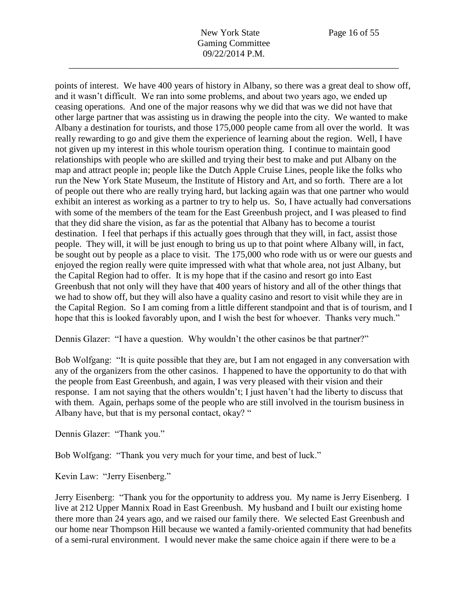points of interest. We have 400 years of history in Albany, so there was a great deal to show off, and it wasn't difficult. We ran into some problems, and about two years ago, we ended up ceasing operations. And one of the major reasons why we did that was we did not have that other large partner that was assisting us in drawing the people into the city. We wanted to make Albany a destination for tourists, and those 175,000 people came from all over the world. It was really rewarding to go and give them the experience of learning about the region. Well, I have not given up my interest in this whole tourism operation thing. I continue to maintain good relationships with people who are skilled and trying their best to make and put Albany on the map and attract people in; people like the Dutch Apple Cruise Lines, people like the folks who run the New York State Museum, the Institute of History and Art, and so forth. There are a lot of people out there who are really trying hard, but lacking again was that one partner who would exhibit an interest as working as a partner to try to help us. So, I have actually had conversations with some of the members of the team for the East Greenbush project, and I was pleased to find that they did share the vision, as far as the potential that Albany has to become a tourist destination. I feel that perhaps if this actually goes through that they will, in fact, assist those people. They will, it will be just enough to bring us up to that point where Albany will, in fact, be sought out by people as a place to visit. The 175,000 who rode with us or were our guests and enjoyed the region really were quite impressed with what that whole area, not just Albany, but the Capital Region had to offer. It is my hope that if the casino and resort go into East Greenbush that not only will they have that 400 years of history and all of the other things that we had to show off, but they will also have a quality casino and resort to visit while they are in the Capital Region. So I am coming from a little different standpoint and that is of tourism, and I hope that this is looked favorably upon, and I wish the best for whoever. Thanks very much."

Dennis Glazer: "I have a question. Why wouldn't the other casinos be that partner?"

Bob Wolfgang: "It is quite possible that they are, but I am not engaged in any conversation with any of the organizers from the other casinos. I happened to have the opportunity to do that with the people from East Greenbush, and again, I was very pleased with their vision and their response. I am not saying that the others wouldn't; I just haven't had the liberty to discuss that with them. Again, perhaps some of the people who are still involved in the tourism business in Albany have, but that is my personal contact, okay? "

Dennis Glazer: "Thank you."

Bob Wolfgang: "Thank you very much for your time, and best of luck."

Kevin Law: "Jerry Eisenberg."

Jerry Eisenberg: "Thank you for the opportunity to address you. My name is Jerry Eisenberg. I live at 212 Upper Mannix Road in East Greenbush. My husband and I built our existing home there more than 24 years ago, and we raised our family there. We selected East Greenbush and our home near Thompson Hill because we wanted a family-oriented community that had benefits of a semi-rural environment. I would never make the same choice again if there were to be a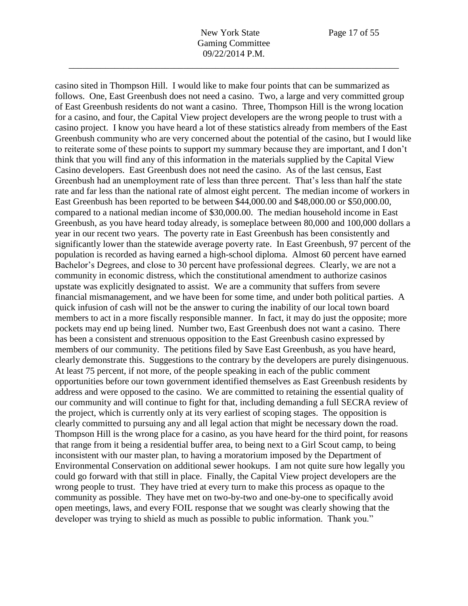New York State Page 17 of 55 Gaming Committee 09/22/2014 P.M.

\_\_\_\_\_\_\_\_\_\_\_\_\_\_\_\_\_\_\_\_\_\_\_\_\_\_\_\_\_\_\_\_\_\_\_\_\_\_\_\_\_\_\_\_\_\_\_\_\_\_\_\_\_\_\_\_\_\_\_\_\_\_\_\_\_\_\_\_\_\_\_\_

casino sited in Thompson Hill. I would like to make four points that can be summarized as follows. One, East Greenbush does not need a casino. Two, a large and very committed group of East Greenbush residents do not want a casino. Three, Thompson Hill is the wrong location for a casino, and four, the Capital View project developers are the wrong people to trust with a casino project. I know you have heard a lot of these statistics already from members of the East Greenbush community who are very concerned about the potential of the casino, but I would like to reiterate some of these points to support my summary because they are important, and I don't think that you will find any of this information in the materials supplied by the Capital View Casino developers. East Greenbush does not need the casino. As of the last census, East Greenbush had an unemployment rate of less than three percent. That's less than half the state rate and far less than the national rate of almost eight percent. The median income of workers in East Greenbush has been reported to be between \$44,000.00 and \$48,000.00 or \$50,000.00, compared to a national median income of \$30,000.00. The median household income in East Greenbush, as you have heard today already, is someplace between 80,000 and 100,000 dollars a year in our recent two years. The poverty rate in East Greenbush has been consistently and significantly lower than the statewide average poverty rate. In East Greenbush, 97 percent of the population is recorded as having earned a high-school diploma. Almost 60 percent have earned Bachelor's Degrees, and close to 30 percent have professional degrees. Clearly, we are not a community in economic distress, which the constitutional amendment to authorize casinos upstate was explicitly designated to assist. We are a community that suffers from severe financial mismanagement, and we have been for some time, and under both political parties. A quick infusion of cash will not be the answer to curing the inability of our local town board members to act in a more fiscally responsible manner. In fact, it may do just the opposite; more pockets may end up being lined. Number two, East Greenbush does not want a casino. There has been a consistent and strenuous opposition to the East Greenbush casino expressed by members of our community. The petitions filed by Save East Greenbush, as you have heard, clearly demonstrate this. Suggestions to the contrary by the developers are purely disingenuous. At least 75 percent, if not more, of the people speaking in each of the public comment opportunities before our town government identified themselves as East Greenbush residents by address and were opposed to the casino. We are committed to retaining the essential quality of our community and will continue to fight for that, including demanding a full SECRA review of the project, which is currently only at its very earliest of scoping stages. The opposition is clearly committed to pursuing any and all legal action that might be necessary down the road. Thompson Hill is the wrong place for a casino, as you have heard for the third point, for reasons that range from it being a residential buffer area, to being next to a Girl Scout camp, to being inconsistent with our master plan, to having a moratorium imposed by the Department of Environmental Conservation on additional sewer hookups. I am not quite sure how legally you could go forward with that still in place. Finally, the Capital View project developers are the wrong people to trust. They have tried at every turn to make this process as opaque to the community as possible. They have met on two-by-two and one-by-one to specifically avoid open meetings, laws, and every FOIL response that we sought was clearly showing that the developer was trying to shield as much as possible to public information. Thank you."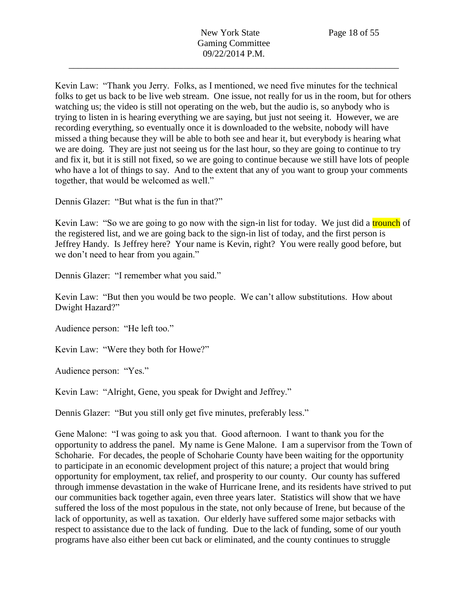Kevin Law: "Thank you Jerry. Folks, as I mentioned, we need five minutes for the technical folks to get us back to be live web stream. One issue, not really for us in the room, but for others watching us; the video is still not operating on the web, but the audio is, so anybody who is trying to listen in is hearing everything we are saying, but just not seeing it. However, we are recording everything, so eventually once it is downloaded to the website, nobody will have missed a thing because they will be able to both see and hear it, but everybody is hearing what we are doing. They are just not seeing us for the last hour, so they are going to continue to try and fix it, but it is still not fixed, so we are going to continue because we still have lots of people who have a lot of things to say. And to the extent that any of you want to group your comments together, that would be welcomed as well."

Dennis Glazer: "But what is the fun in that?"

Kevin Law: "So we are going to go now with the sign-in list for today. We just did a trounch of the registered list, and we are going back to the sign-in list of today, and the first person is Jeffrey Handy. Is Jeffrey here? Your name is Kevin, right? You were really good before, but we don't need to hear from you again."

Dennis Glazer: "I remember what you said."

Kevin Law: "But then you would be two people. We can't allow substitutions. How about Dwight Hazard?"

Audience person: "He left too."

Kevin Law: "Were they both for Howe?"

Audience person: "Yes."

Kevin Law: "Alright, Gene, you speak for Dwight and Jeffrey."

Dennis Glazer: "But you still only get five minutes, preferably less."

Gene Malone: "I was going to ask you that. Good afternoon. I want to thank you for the opportunity to address the panel. My name is Gene Malone. I am a supervisor from the Town of Schoharie. For decades, the people of Schoharie County have been waiting for the opportunity to participate in an economic development project of this nature; a project that would bring opportunity for employment, tax relief, and prosperity to our county. Our county has suffered through immense devastation in the wake of Hurricane Irene, and its residents have strived to put our communities back together again, even three years later. Statistics will show that we have suffered the loss of the most populous in the state, not only because of Irene, but because of the lack of opportunity, as well as taxation. Our elderly have suffered some major setbacks with respect to assistance due to the lack of funding. Due to the lack of funding, some of our youth programs have also either been cut back or eliminated, and the county continues to struggle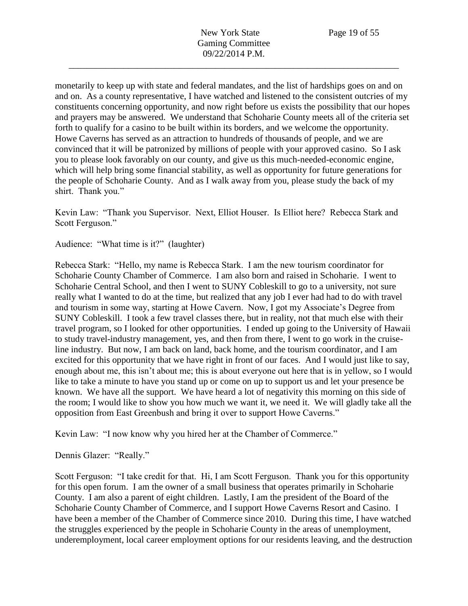monetarily to keep up with state and federal mandates, and the list of hardships goes on and on and on. As a county representative, I have watched and listened to the consistent outcries of my constituents concerning opportunity, and now right before us exists the possibility that our hopes and prayers may be answered. We understand that Schoharie County meets all of the criteria set forth to qualify for a casino to be built within its borders, and we welcome the opportunity. Howe Caverns has served as an attraction to hundreds of thousands of people, and we are convinced that it will be patronized by millions of people with your approved casino. So I ask you to please look favorably on our county, and give us this much-needed-economic engine, which will help bring some financial stability, as well as opportunity for future generations for the people of Schoharie County. And as I walk away from you, please study the back of my shirt. Thank you."

Kevin Law: "Thank you Supervisor. Next, Elliot Houser. Is Elliot here? Rebecca Stark and Scott Ferguson."

Audience: "What time is it?" (laughter)

Rebecca Stark: "Hello, my name is Rebecca Stark. I am the new tourism coordinator for Schoharie County Chamber of Commerce. I am also born and raised in Schoharie. I went to Schoharie Central School, and then I went to SUNY Cobleskill to go to a university, not sure really what I wanted to do at the time, but realized that any job I ever had had to do with travel and tourism in some way, starting at Howe Cavern. Now, I got my Associate's Degree from SUNY Cobleskill. I took a few travel classes there, but in reality, not that much else with their travel program, so I looked for other opportunities. I ended up going to the University of Hawaii to study travel-industry management, yes, and then from there, I went to go work in the cruiseline industry. But now, I am back on land, back home, and the tourism coordinator, and I am excited for this opportunity that we have right in front of our faces. And I would just like to say, enough about me, this isn't about me; this is about everyone out here that is in yellow, so I would like to take a minute to have you stand up or come on up to support us and let your presence be known. We have all the support. We have heard a lot of negativity this morning on this side of the room; I would like to show you how much we want it, we need it. We will gladly take all the opposition from East Greenbush and bring it over to support Howe Caverns."

Kevin Law: "I now know why you hired her at the Chamber of Commerce."

Dennis Glazer: "Really."

Scott Ferguson: "I take credit for that. Hi, I am Scott Ferguson. Thank you for this opportunity for this open forum. I am the owner of a small business that operates primarily in Schoharie County. I am also a parent of eight children. Lastly, I am the president of the Board of the Schoharie County Chamber of Commerce, and I support Howe Caverns Resort and Casino. I have been a member of the Chamber of Commerce since 2010. During this time, I have watched the struggles experienced by the people in Schoharie County in the areas of unemployment, underemployment, local career employment options for our residents leaving, and the destruction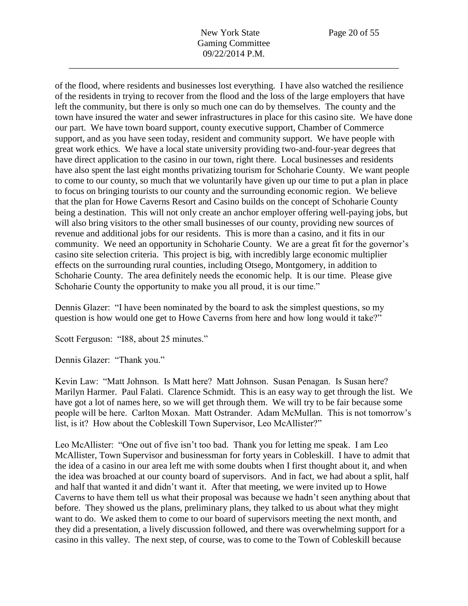of the flood, where residents and businesses lost everything. I have also watched the resilience of the residents in trying to recover from the flood and the loss of the large employers that have left the community, but there is only so much one can do by themselves. The county and the town have insured the water and sewer infrastructures in place for this casino site. We have done our part. We have town board support, county executive support, Chamber of Commerce support, and as you have seen today, resident and community support. We have people with great work ethics. We have a local state university providing two-and-four-year degrees that have direct application to the casino in our town, right there. Local businesses and residents have also spent the last eight months privatizing tourism for Schoharie County. We want people to come to our county, so much that we voluntarily have given up our time to put a plan in place to focus on bringing tourists to our county and the surrounding economic region. We believe that the plan for Howe Caverns Resort and Casino builds on the concept of Schoharie County being a destination. This will not only create an anchor employer offering well-paying jobs, but will also bring visitors to the other small businesses of our county, providing new sources of revenue and additional jobs for our residents. This is more than a casino, and it fits in our community. We need an opportunity in Schoharie County. We are a great fit for the governor's casino site selection criteria. This project is big, with incredibly large economic multiplier effects on the surrounding rural counties, including Otsego, Montgomery, in addition to Schoharie County. The area definitely needs the economic help. It is our time. Please give Schoharie County the opportunity to make you all proud, it is our time."

\_\_\_\_\_\_\_\_\_\_\_\_\_\_\_\_\_\_\_\_\_\_\_\_\_\_\_\_\_\_\_\_\_\_\_\_\_\_\_\_\_\_\_\_\_\_\_\_\_\_\_\_\_\_\_\_\_\_\_\_\_\_\_\_\_\_\_\_\_\_\_\_

Dennis Glazer: "I have been nominated by the board to ask the simplest questions, so my question is how would one get to Howe Caverns from here and how long would it take?"

Scott Ferguson: "I88, about 25 minutes."

Dennis Glazer: "Thank you."

Kevin Law: "Matt Johnson. Is Matt here? Matt Johnson. Susan Penagan. Is Susan here? Marilyn Harmer. Paul Falati. Clarence Schmidt. This is an easy way to get through the list. We have got a lot of names here, so we will get through them. We will try to be fair because some people will be here. Carlton Moxan. Matt Ostrander. Adam McMullan. This is not tomorrow's list, is it? How about the Cobleskill Town Supervisor, Leo McAllister?"

Leo McAllister: "One out of five isn't too bad. Thank you for letting me speak. I am Leo McAllister, Town Supervisor and businessman for forty years in Cobleskill. I have to admit that the idea of a casino in our area left me with some doubts when I first thought about it, and when the idea was broached at our county board of supervisors. And in fact, we had about a split, half and half that wanted it and didn't want it. After that meeting, we were invited up to Howe Caverns to have them tell us what their proposal was because we hadn't seen anything about that before. They showed us the plans, preliminary plans, they talked to us about what they might want to do. We asked them to come to our board of supervisors meeting the next month, and they did a presentation, a lively discussion followed, and there was overwhelming support for a casino in this valley. The next step, of course, was to come to the Town of Cobleskill because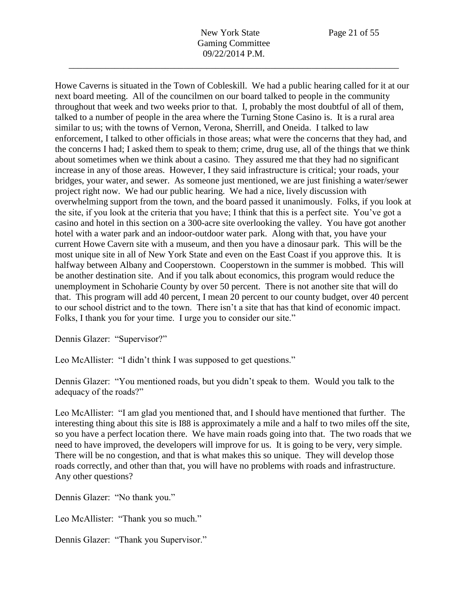Howe Caverns is situated in the Town of Cobleskill. We had a public hearing called for it at our next board meeting. All of the councilmen on our board talked to people in the community throughout that week and two weeks prior to that. I, probably the most doubtful of all of them, talked to a number of people in the area where the Turning Stone Casino is. It is a rural area similar to us; with the towns of Vernon, Verona, Sherrill, and Oneida. I talked to law enforcement, I talked to other officials in those areas; what were the concerns that they had, and the concerns I had; I asked them to speak to them; crime, drug use, all of the things that we think about sometimes when we think about a casino. They assured me that they had no significant increase in any of those areas. However, I they said infrastructure is critical; your roads, your bridges, your water, and sewer. As someone just mentioned, we are just finishing a water/sewer project right now. We had our public hearing. We had a nice, lively discussion with overwhelming support from the town, and the board passed it unanimously. Folks, if you look at the site, if you look at the criteria that you have; I think that this is a perfect site. You've got a casino and hotel in this section on a 300-acre site overlooking the valley. You have got another hotel with a water park and an indoor-outdoor water park. Along with that, you have your current Howe Cavern site with a museum, and then you have a dinosaur park. This will be the most unique site in all of New York State and even on the East Coast if you approve this. It is halfway between Albany and Cooperstown. Cooperstown in the summer is mobbed. This will be another destination site. And if you talk about economics, this program would reduce the unemployment in Schoharie County by over 50 percent. There is not another site that will do that. This program will add 40 percent, I mean 20 percent to our county budget, over 40 percent to our school district and to the town. There isn't a site that has that kind of economic impact. Folks, I thank you for your time. I urge you to consider our site."

Dennis Glazer: "Supervisor?"

Leo McAllister: "I didn't think I was supposed to get questions."

Dennis Glazer: "You mentioned roads, but you didn't speak to them. Would you talk to the adequacy of the roads?"

Leo McAllister: "I am glad you mentioned that, and I should have mentioned that further. The interesting thing about this site is I88 is approximately a mile and a half to two miles off the site, so you have a perfect location there. We have main roads going into that. The two roads that we need to have improved, the developers will improve for us. It is going to be very, very simple. There will be no congestion, and that is what makes this so unique. They will develop those roads correctly, and other than that, you will have no problems with roads and infrastructure. Any other questions?

Dennis Glazer: "No thank you."

Leo McAllister: "Thank you so much."

Dennis Glazer: "Thank you Supervisor."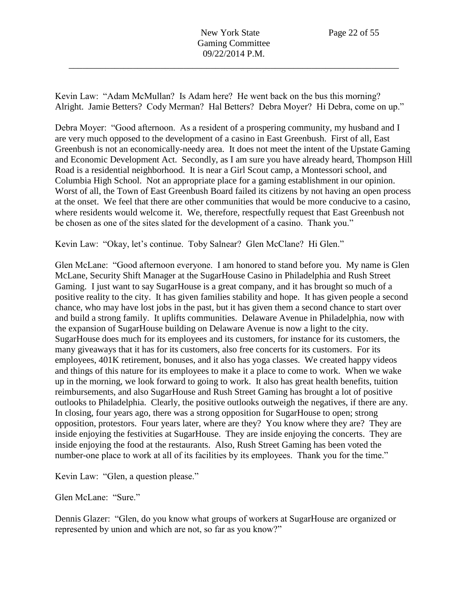New York State Page 22 of 55 Gaming Committee 09/22/2014 P.M.

\_\_\_\_\_\_\_\_\_\_\_\_\_\_\_\_\_\_\_\_\_\_\_\_\_\_\_\_\_\_\_\_\_\_\_\_\_\_\_\_\_\_\_\_\_\_\_\_\_\_\_\_\_\_\_\_\_\_\_\_\_\_\_\_\_\_\_\_\_\_\_\_

Kevin Law: "Adam McMullan? Is Adam here? He went back on the bus this morning? Alright. Jamie Betters? Cody Merman? Hal Betters? Debra Moyer? Hi Debra, come on up."

Debra Moyer: "Good afternoon. As a resident of a prospering community, my husband and I are very much opposed to the development of a casino in East Greenbush. First of all, East Greenbush is not an economically-needy area. It does not meet the intent of the Upstate Gaming and Economic Development Act. Secondly, as I am sure you have already heard, Thompson Hill Road is a residential neighborhood. It is near a Girl Scout camp, a Montessori school, and Columbia High School. Not an appropriate place for a gaming establishment in our opinion. Worst of all, the Town of East Greenbush Board failed its citizens by not having an open process at the onset. We feel that there are other communities that would be more conducive to a casino, where residents would welcome it. We, therefore, respectfully request that East Greenbush not be chosen as one of the sites slated for the development of a casino. Thank you."

Kevin Law: "Okay, let's continue. Toby Salnear? Glen McClane? Hi Glen."

Glen McLane: "Good afternoon everyone. I am honored to stand before you. My name is Glen McLane, Security Shift Manager at the SugarHouse Casino in Philadelphia and Rush Street Gaming. I just want to say SugarHouse is a great company, and it has brought so much of a positive reality to the city. It has given families stability and hope. It has given people a second chance, who may have lost jobs in the past, but it has given them a second chance to start over and build a strong family. It uplifts communities. Delaware Avenue in Philadelphia, now with the expansion of SugarHouse building on Delaware Avenue is now a light to the city. SugarHouse does much for its employees and its customers, for instance for its customers, the many giveaways that it has for its customers, also free concerts for its customers. For its employees, 401K retirement, bonuses, and it also has yoga classes. We created happy videos and things of this nature for its employees to make it a place to come to work. When we wake up in the morning, we look forward to going to work. It also has great health benefits, tuition reimbursements, and also SugarHouse and Rush Street Gaming has brought a lot of positive outlooks to Philadelphia. Clearly, the positive outlooks outweigh the negatives, if there are any. In closing, four years ago, there was a strong opposition for SugarHouse to open; strong opposition, protestors. Four years later, where are they? You know where they are? They are inside enjoying the festivities at SugarHouse. They are inside enjoying the concerts. They are inside enjoying the food at the restaurants. Also, Rush Street Gaming has been voted the number-one place to work at all of its facilities by its employees. Thank you for the time."

Kevin Law: "Glen, a question please."

Glen McLane: "Sure."

Dennis Glazer: "Glen, do you know what groups of workers at SugarHouse are organized or represented by union and which are not, so far as you know?"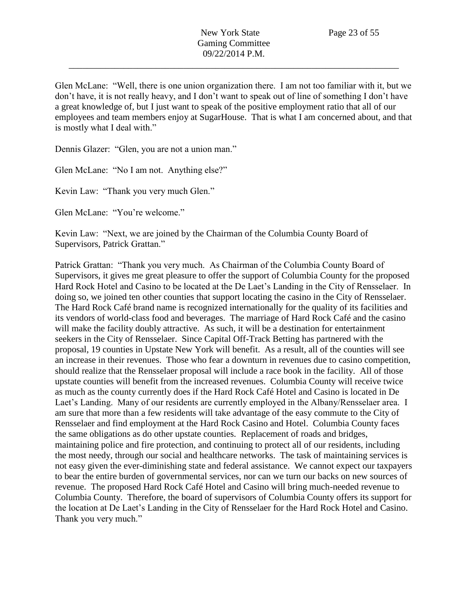Glen McLane: "Well, there is one union organization there. I am not too familiar with it, but we don't have, it is not really heavy, and I don't want to speak out of line of something I don't have a great knowledge of, but I just want to speak of the positive employment ratio that all of our employees and team members enjoy at SugarHouse. That is what I am concerned about, and that is mostly what I deal with."

Dennis Glazer: "Glen, you are not a union man."

Glen McLane: "No I am not. Anything else?"

Kevin Law: "Thank you very much Glen."

Glen McLane: "You're welcome."

Kevin Law: "Next, we are joined by the Chairman of the Columbia County Board of Supervisors, Patrick Grattan."

Patrick Grattan: "Thank you very much. As Chairman of the Columbia County Board of Supervisors, it gives me great pleasure to offer the support of Columbia County for the proposed Hard Rock Hotel and Casino to be located at the De Laet's Landing in the City of Rensselaer. In doing so, we joined ten other counties that support locating the casino in the City of Rensselaer. The Hard Rock Café brand name is recognized internationally for the quality of its facilities and its vendors of world-class food and beverages. The marriage of Hard Rock Café and the casino will make the facility doubly attractive. As such, it will be a destination for entertainment seekers in the City of Rensselaer. Since Capital Off-Track Betting has partnered with the proposal, 19 counties in Upstate New York will benefit. As a result, all of the counties will see an increase in their revenues. Those who fear a downturn in revenues due to casino competition, should realize that the Rensselaer proposal will include a race book in the facility. All of those upstate counties will benefit from the increased revenues. Columbia County will receive twice as much as the county currently does if the Hard Rock Café Hotel and Casino is located in De Laet's Landing. Many of our residents are currently employed in the Albany/Rensselaer area. I am sure that more than a few residents will take advantage of the easy commute to the City of Rensselaer and find employment at the Hard Rock Casino and Hotel. Columbia County faces the same obligations as do other upstate counties. Replacement of roads and bridges, maintaining police and fire protection, and continuing to protect all of our residents, including the most needy, through our social and healthcare networks. The task of maintaining services is not easy given the ever-diminishing state and federal assistance. We cannot expect our taxpayers to bear the entire burden of governmental services, nor can we turn our backs on new sources of revenue. The proposed Hard Rock Café Hotel and Casino will bring much-needed revenue to Columbia County. Therefore, the board of supervisors of Columbia County offers its support for the location at De Laet's Landing in the City of Rensselaer for the Hard Rock Hotel and Casino. Thank you very much."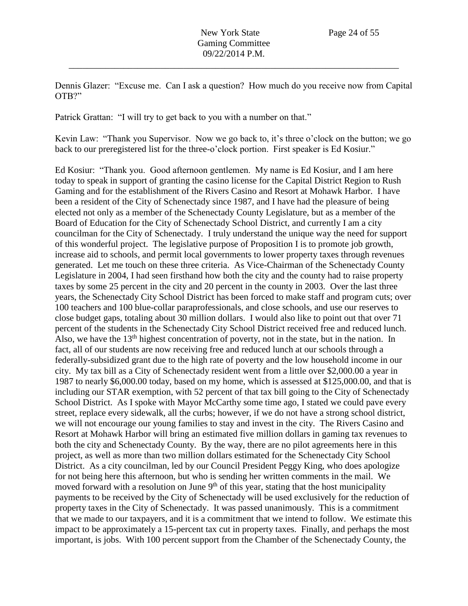Dennis Glazer: "Excuse me. Can I ask a question? How much do you receive now from Capital OTB?"

\_\_\_\_\_\_\_\_\_\_\_\_\_\_\_\_\_\_\_\_\_\_\_\_\_\_\_\_\_\_\_\_\_\_\_\_\_\_\_\_\_\_\_\_\_\_\_\_\_\_\_\_\_\_\_\_\_\_\_\_\_\_\_\_\_\_\_\_\_\_\_\_

Patrick Grattan: "I will try to get back to you with a number on that."

Kevin Law: "Thank you Supervisor. Now we go back to, it's three o'clock on the button; we go back to our preregistered list for the three-o'clock portion. First speaker is Ed Kosiur."

Ed Kosiur: "Thank you. Good afternoon gentlemen. My name is Ed Kosiur, and I am here today to speak in support of granting the casino license for the Capital District Region to Rush Gaming and for the establishment of the Rivers Casino and Resort at Mohawk Harbor. I have been a resident of the City of Schenectady since 1987, and I have had the pleasure of being elected not only as a member of the Schenectady County Legislature, but as a member of the Board of Education for the City of Schenectady School District, and currently I am a city councilman for the City of Schenectady. I truly understand the unique way the need for support of this wonderful project. The legislative purpose of Proposition I is to promote job growth, increase aid to schools, and permit local governments to lower property taxes through revenues generated. Let me touch on these three criteria. As Vice-Chairman of the Schenectady County Legislature in 2004, I had seen firsthand how both the city and the county had to raise property taxes by some 25 percent in the city and 20 percent in the county in 2003. Over the last three years, the Schenectady City School District has been forced to make staff and program cuts; over 100 teachers and 100 blue-collar paraprofessionals, and close schools, and use our reserves to close budget gaps, totaling about 30 million dollars. I would also like to point out that over 71 percent of the students in the Schenectady City School District received free and reduced lunch. Also, we have the  $13<sup>th</sup>$  highest concentration of poverty, not in the state, but in the nation. In fact, all of our students are now receiving free and reduced lunch at our schools through a federally-subsidized grant due to the high rate of poverty and the low household income in our city. My tax bill as a City of Schenectady resident went from a little over \$2,000.00 a year in 1987 to nearly \$6,000.00 today, based on my home, which is assessed at \$125,000.00, and that is including our STAR exemption, with 52 percent of that tax bill going to the City of Schenectady School District. As I spoke with Mayor McCarthy some time ago, I stated we could pave every street, replace every sidewalk, all the curbs; however, if we do not have a strong school district, we will not encourage our young families to stay and invest in the city. The Rivers Casino and Resort at Mohawk Harbor will bring an estimated five million dollars in gaming tax revenues to both the city and Schenectady County. By the way, there are no pilot agreements here in this project, as well as more than two million dollars estimated for the Schenectady City School District. As a city councilman, led by our Council President Peggy King, who does apologize for not being here this afternoon, but who is sending her written comments in the mail. We moved forward with a resolution on June 9<sup>th</sup> of this year, stating that the host municipality payments to be received by the City of Schenectady will be used exclusively for the reduction of property taxes in the City of Schenectady. It was passed unanimously. This is a commitment that we made to our taxpayers, and it is a commitment that we intend to follow. We estimate this impact to be approximately a 15-percent tax cut in property taxes. Finally, and perhaps the most important, is jobs. With 100 percent support from the Chamber of the Schenectady County, the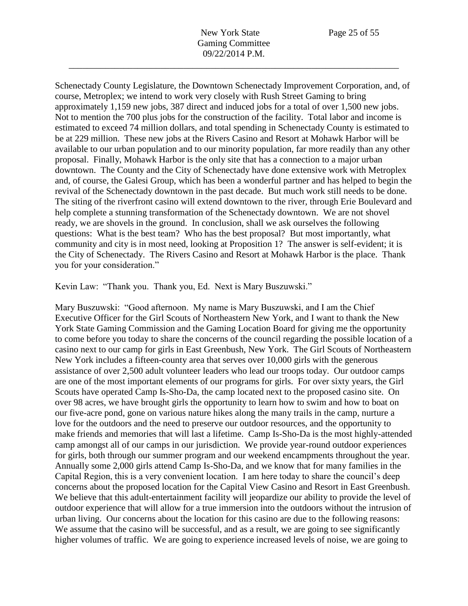Schenectady County Legislature, the Downtown Schenectady Improvement Corporation, and, of course, Metroplex; we intend to work very closely with Rush Street Gaming to bring approximately 1,159 new jobs, 387 direct and induced jobs for a total of over 1,500 new jobs. Not to mention the 700 plus jobs for the construction of the facility. Total labor and income is estimated to exceed 74 million dollars, and total spending in Schenectady County is estimated to be at 229 million. These new jobs at the Rivers Casino and Resort at Mohawk Harbor will be available to our urban population and to our minority population, far more readily than any other proposal. Finally, Mohawk Harbor is the only site that has a connection to a major urban downtown. The County and the City of Schenectady have done extensive work with Metroplex and, of course, the Galesi Group, which has been a wonderful partner and has helped to begin the revival of the Schenectady downtown in the past decade. But much work still needs to be done. The siting of the riverfront casino will extend downtown to the river, through Erie Boulevard and help complete a stunning transformation of the Schenectady downtown. We are not shovel ready, we are shovels in the ground. In conclusion, shall we ask ourselves the following questions: What is the best team? Who has the best proposal? But most importantly, what community and city is in most need, looking at Proposition 1? The answer is self-evident; it is the City of Schenectady. The Rivers Casino and Resort at Mohawk Harbor is the place. Thank you for your consideration."

Kevin Law: "Thank you. Thank you, Ed. Next is Mary Buszuwski."

Mary Buszuwski: "Good afternoon. My name is Mary Buszuwski, and I am the Chief Executive Officer for the Girl Scouts of Northeastern New York, and I want to thank the New York State Gaming Commission and the Gaming Location Board for giving me the opportunity to come before you today to share the concerns of the council regarding the possible location of a casino next to our camp for girls in East Greenbush, New York. The Girl Scouts of Northeastern New York includes a fifteen-county area that serves over 10,000 girls with the generous assistance of over 2,500 adult volunteer leaders who lead our troops today. Our outdoor camps are one of the most important elements of our programs for girls. For over sixty years, the Girl Scouts have operated Camp Is-Sho-Da, the camp located next to the proposed casino site. On over 98 acres, we have brought girls the opportunity to learn how to swim and how to boat on our five-acre pond, gone on various nature hikes along the many trails in the camp, nurture a love for the outdoors and the need to preserve our outdoor resources, and the opportunity to make friends and memories that will last a lifetime. Camp Is-Sho-Da is the most highly-attended camp amongst all of our camps in our jurisdiction. We provide year-round outdoor experiences for girls, both through our summer program and our weekend encampments throughout the year. Annually some 2,000 girls attend Camp Is-Sho-Da, and we know that for many families in the Capital Region, this is a very convenient location. I am here today to share the council's deep concerns about the proposed location for the Capital View Casino and Resort in East Greenbush. We believe that this adult-entertainment facility will jeopardize our ability to provide the level of outdoor experience that will allow for a true immersion into the outdoors without the intrusion of urban living. Our concerns about the location for this casino are due to the following reasons: We assume that the casino will be successful, and as a result, we are going to see significantly higher volumes of traffic. We are going to experience increased levels of noise, we are going to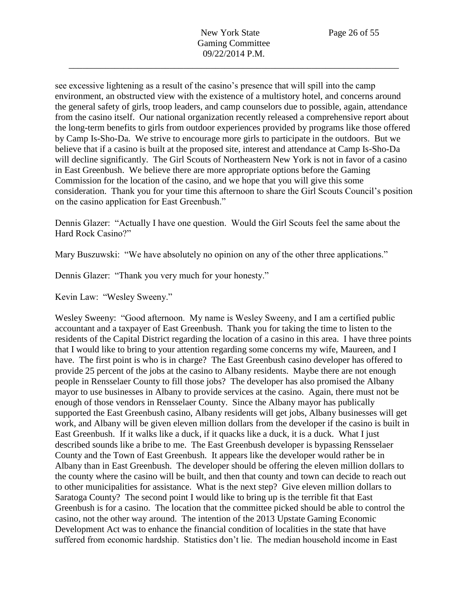see excessive lightening as a result of the casino's presence that will spill into the camp environment, an obstructed view with the existence of a multistory hotel, and concerns around the general safety of girls, troop leaders, and camp counselors due to possible, again, attendance from the casino itself. Our national organization recently released a comprehensive report about the long-term benefits to girls from outdoor experiences provided by programs like those offered by Camp Is-Sho-Da. We strive to encourage more girls to participate in the outdoors. But we believe that if a casino is built at the proposed site, interest and attendance at Camp Is-Sho-Da will decline significantly. The Girl Scouts of Northeastern New York is not in favor of a casino in East Greenbush. We believe there are more appropriate options before the Gaming Commission for the location of the casino, and we hope that you will give this some consideration. Thank you for your time this afternoon to share the Girl Scouts Council's position on the casino application for East Greenbush."

Dennis Glazer: "Actually I have one question. Would the Girl Scouts feel the same about the Hard Rock Casino?"

Mary Buszuwski: "We have absolutely no opinion on any of the other three applications."

Dennis Glazer: "Thank you very much for your honesty."

Kevin Law: "Wesley Sweeny."

Wesley Sweeny: "Good afternoon. My name is Wesley Sweeny, and I am a certified public accountant and a taxpayer of East Greenbush. Thank you for taking the time to listen to the residents of the Capital District regarding the location of a casino in this area. I have three points that I would like to bring to your attention regarding some concerns my wife, Maureen, and I have. The first point is who is in charge? The East Greenbush casino developer has offered to provide 25 percent of the jobs at the casino to Albany residents. Maybe there are not enough people in Rensselaer County to fill those jobs? The developer has also promised the Albany mayor to use businesses in Albany to provide services at the casino. Again, there must not be enough of those vendors in Rensselaer County. Since the Albany mayor has publically supported the East Greenbush casino, Albany residents will get jobs, Albany businesses will get work, and Albany will be given eleven million dollars from the developer if the casino is built in East Greenbush. If it walks like a duck, if it quacks like a duck, it is a duck. What I just described sounds like a bribe to me. The East Greenbush developer is bypassing Rensselaer County and the Town of East Greenbush. It appears like the developer would rather be in Albany than in East Greenbush. The developer should be offering the eleven million dollars to the county where the casino will be built, and then that county and town can decide to reach out to other municipalities for assistance. What is the next step? Give eleven million dollars to Saratoga County? The second point I would like to bring up is the terrible fit that East Greenbush is for a casino. The location that the committee picked should be able to control the casino, not the other way around. The intention of the 2013 Upstate Gaming Economic Development Act was to enhance the financial condition of localities in the state that have suffered from economic hardship. Statistics don't lie. The median household income in East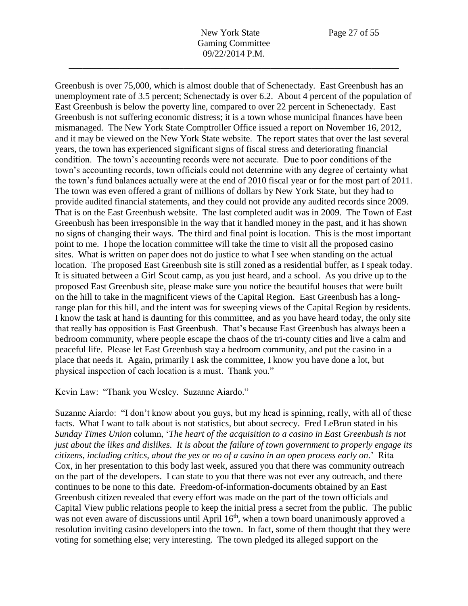Greenbush is over 75,000, which is almost double that of Schenectady. East Greenbush has an unemployment rate of 3.5 percent; Schenectady is over 6.2. About 4 percent of the population of East Greenbush is below the poverty line, compared to over 22 percent in Schenectady. East Greenbush is not suffering economic distress; it is a town whose municipal finances have been mismanaged. The New York State Comptroller Office issued a report on November 16, 2012, and it may be viewed on the New York State website. The report states that over the last several years, the town has experienced significant signs of fiscal stress and deteriorating financial condition. The town's accounting records were not accurate. Due to poor conditions of the town's accounting records, town officials could not determine with any degree of certainty what the town's fund balances actually were at the end of 2010 fiscal year or for the most part of 2011. The town was even offered a grant of millions of dollars by New York State, but they had to provide audited financial statements, and they could not provide any audited records since 2009. That is on the East Greenbush website. The last completed audit was in 2009. The Town of East Greenbush has been irresponsible in the way that it handled money in the past, and it has shown no signs of changing their ways. The third and final point is location. This is the most important point to me. I hope the location committee will take the time to visit all the proposed casino sites. What is written on paper does not do justice to what I see when standing on the actual location. The proposed East Greenbush site is still zoned as a residential buffer, as I speak today. It is situated between a Girl Scout camp, as you just heard, and a school. As you drive up to the proposed East Greenbush site, please make sure you notice the beautiful houses that were built on the hill to take in the magnificent views of the Capital Region. East Greenbush has a longrange plan for this hill, and the intent was for sweeping views of the Capital Region by residents. I know the task at hand is daunting for this committee, and as you have heard today, the only site that really has opposition is East Greenbush. That's because East Greenbush has always been a bedroom community, where people escape the chaos of the tri-county cities and live a calm and peaceful life. Please let East Greenbush stay a bedroom community, and put the casino in a place that needs it. Again, primarily I ask the committee, I know you have done a lot, but physical inspection of each location is a must. Thank you."

Kevin Law: "Thank you Wesley. Suzanne Aiardo."

Suzanne Aiardo: "I don't know about you guys, but my head is spinning, really, with all of these facts. What I want to talk about is not statistics, but about secrecy. Fred LeBrun stated in his *Sunday Times Union* column, '*The heart of the acquisition to a casino in East Greenbush is not just about the likes and dislikes. It is about the failure of town government to properly engage its citizens, including critics, about the yes or no of a casino in an open process early on*.' Rita Cox, in her presentation to this body last week, assured you that there was community outreach on the part of the developers. I can state to you that there was not ever any outreach, and there continues to be none to this date. Freedom-of-information-documents obtained by an East Greenbush citizen revealed that every effort was made on the part of the town officials and Capital View public relations people to keep the initial press a secret from the public. The public was not even aware of discussions until April  $16<sup>th</sup>$ , when a town board unanimously approved a resolution inviting casino developers into the town. In fact, some of them thought that they were voting for something else; very interesting. The town pledged its alleged support on the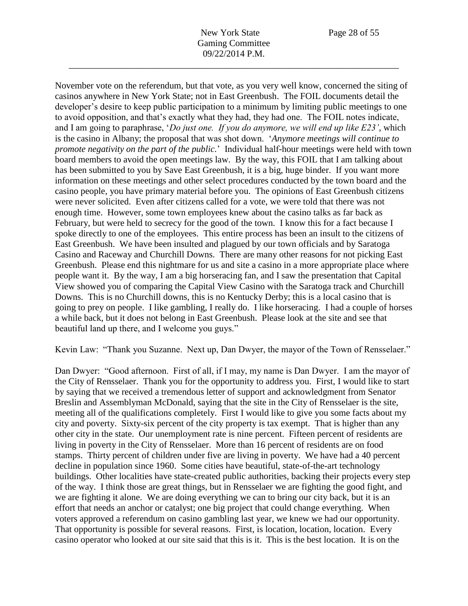November vote on the referendum, but that vote, as you very well know, concerned the siting of casinos anywhere in New York State; not in East Greenbush. The FOIL documents detail the developer's desire to keep public participation to a minimum by limiting public meetings to one to avoid opposition, and that's exactly what they had, they had one. The FOIL notes indicate, and I am going to paraphrase, '*Do just one. If you do anymore, we will end up like E23'*, which is the casino in Albany; the proposal that was shot down. '*Anymore meetings will continue to promote negativity on the part of the public.*' Individual half-hour meetings were held with town board members to avoid the open meetings law. By the way, this FOIL that I am talking about has been submitted to you by Save East Greenbush, it is a big, huge binder. If you want more information on these meetings and other select procedures conducted by the town board and the casino people, you have primary material before you. The opinions of East Greenbush citizens were never solicited. Even after citizens called for a vote, we were told that there was not enough time. However, some town employees knew about the casino talks as far back as February, but were held to secrecy for the good of the town. I know this for a fact because I spoke directly to one of the employees. This entire process has been an insult to the citizens of East Greenbush. We have been insulted and plagued by our town officials and by Saratoga Casino and Raceway and Churchill Downs. There are many other reasons for not picking East Greenbush. Please end this nightmare for us and site a casino in a more appropriate place where people want it. By the way, I am a big horseracing fan, and I saw the presentation that Capital View showed you of comparing the Capital View Casino with the Saratoga track and Churchill Downs. This is no Churchill downs, this is no Kentucky Derby; this is a local casino that is going to prey on people. I like gambling, I really do. I like horseracing. I had a couple of horses a while back, but it does not belong in East Greenbush. Please look at the site and see that beautiful land up there, and I welcome you guys."

Kevin Law: "Thank you Suzanne. Next up, Dan Dwyer, the mayor of the Town of Rensselaer."

Dan Dwyer: "Good afternoon. First of all, if I may, my name is Dan Dwyer. I am the mayor of the City of Rensselaer. Thank you for the opportunity to address you. First, I would like to start by saying that we received a tremendous letter of support and acknowledgment from Senator Breslin and Assemblyman McDonald, saying that the site in the City of Rensselaer is the site, meeting all of the qualifications completely. First I would like to give you some facts about my city and poverty. Sixty-six percent of the city property is tax exempt. That is higher than any other city in the state. Our unemployment rate is nine percent. Fifteen percent of residents are living in poverty in the City of Rensselaer. More than 16 percent of residents are on food stamps. Thirty percent of children under five are living in poverty. We have had a 40 percent decline in population since 1960. Some cities have beautiful, state-of-the-art technology buildings. Other localities have state-created public authorities, backing their projects every step of the way. I think those are great things, but in Rensselaer we are fighting the good fight, and we are fighting it alone. We are doing everything we can to bring our city back, but it is an effort that needs an anchor or catalyst; one big project that could change everything. When voters approved a referendum on casino gambling last year, we knew we had our opportunity. That opportunity is possible for several reasons. First, is location, location, location. Every casino operator who looked at our site said that this is it. This is the best location. It is on the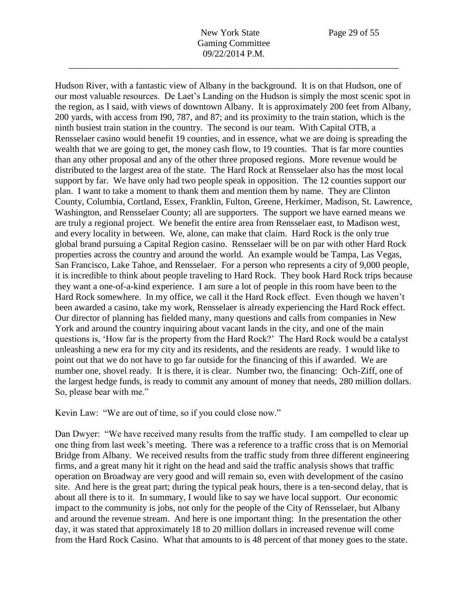Hudson River, with a fantastic view of Albany in the background. It is on that Hudson, one of our most valuable resources. De Laet's Landing on the Hudson is simply the most scenic spot in the region, as I said, with views of downtown Albany. It is approximately 200 feet from Albany, 200 yards, with access from I90, 787, and 87; and its proximity to the train station, which is the ninth busiest train station in the country. The second is our team. With Capital OTB, a Rensselaer casino would benefit 19 counties, and in essence, what we are doing is spreading the wealth that we are going to get, the money cash flow, to 19 counties. That is far more counties than any other proposal and any of the other three proposed regions. More revenue would be distributed to the largest area of the state. The Hard Rock at Rensselaer also has the most local support by far. We have only had two people speak in opposition. The 12 counties support our plan. I want to take a moment to thank them and mention them by name. They are Clinton County, Columbia, Cortland, Essex, Franklin, Fulton, Greene, Herkimer, Madison, St. Lawrence, Washington, and Rensselaer County; all are supporters. The support we have earned means we are truly a regional project. We benefit the entire area from Rensselaer east, to Madison west, and every locality in between. We, alone, can make that claim. Hard Rock is the only true global brand pursuing a Capital Region casino. Rensselaer will be on par with other Hard Rock properties across the country and around the world. An example would be Tampa, Las Vegas, San Francisco, Lake Tahoe, and Rensselaer. For a person who represents a city of 9,000 people, it is incredible to think about people traveling to Hard Rock. They book Hard Rock trips because they want a one-of-a-kind experience. I am sure a lot of people in this room have been to the Hard Rock somewhere. In my office, we call it the Hard Rock effect. Even though we haven't been awarded a casino, take my work, Rensselaer is already experiencing the Hard Rock effect. Our director of planning has fielded many, many questions and calls from companies in New York and around the country inquiring about vacant lands in the city, and one of the main questions is, 'How far is the property from the Hard Rock?' The Hard Rock would be a catalyst unleashing a new era for my city and its residents, and the residents are ready. I would like to point out that we do not have to go far outside for the financing of this if awarded. We are number one, shovel ready. It is there, it is clear. Number two, the financing: Och-Ziff, one of the largest hedge funds, is ready to commit any amount of money that needs, 280 million dollars. So, please bear with me."

Kevin Law: "We are out of time, so if you could close now."

Dan Dwyer: "We have received many results from the traffic study. I am compelled to clear up one thing from last week's meeting. There was a reference to a traffic cross that is on Memorial Bridge from Albany. We received results from the traffic study from three different engineering firms, and a great many hit it right on the head and said the traffic analysis shows that traffic operation on Broadway are very good and will remain so, even with development of the casino site. And here is the great part; during the typical peak hours, there is a ten-second delay, that is about all there is to it. In summary, I would like to say we have local support. Our economic impact to the community is jobs, not only for the people of the City of Rensselaer, but Albany and around the revenue stream. And here is one important thing: In the presentation the other day, it was stated that approximately 18 to 20 million dollars in increased revenue will come from the Hard Rock Casino. What that amounts to is 48 percent of that money goes to the state.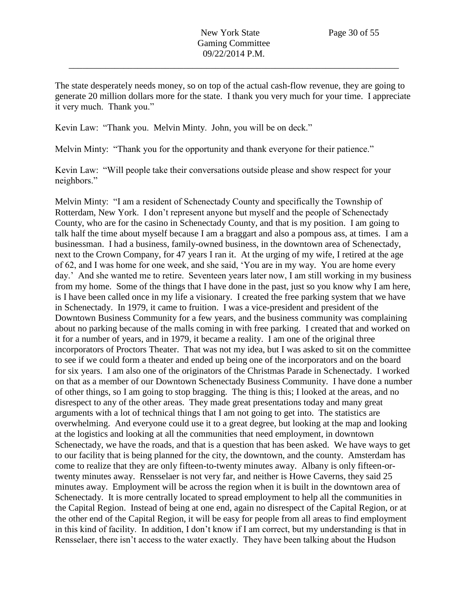The state desperately needs money, so on top of the actual cash-flow revenue, they are going to generate 20 million dollars more for the state. I thank you very much for your time. I appreciate it very much. Thank you."

Kevin Law: "Thank you. Melvin Minty. John, you will be on deck."

Melvin Minty: "Thank you for the opportunity and thank everyone for their patience."

Kevin Law: "Will people take their conversations outside please and show respect for your neighbors."

Melvin Minty: "I am a resident of Schenectady County and specifically the Township of Rotterdam, New York. I don't represent anyone but myself and the people of Schenectady County, who are for the casino in Schenectady County, and that is my position. I am going to talk half the time about myself because I am a braggart and also a pompous ass, at times. I am a businessman. I had a business, family-owned business, in the downtown area of Schenectady, next to the Crown Company, for 47 years I ran it. At the urging of my wife, I retired at the age of 62, and I was home for one week, and she said, 'You are in my way. You are home every day.' And she wanted me to retire. Seventeen years later now, I am still working in my business from my home. Some of the things that I have done in the past, just so you know why I am here, is I have been called once in my life a visionary. I created the free parking system that we have in Schenectady. In 1979, it came to fruition. I was a vice-president and president of the Downtown Business Community for a few years, and the business community was complaining about no parking because of the malls coming in with free parking. I created that and worked on it for a number of years, and in 1979, it became a reality. I am one of the original three incorporators of Proctors Theater. That was not my idea, but I was asked to sit on the committee to see if we could form a theater and ended up being one of the incorporators and on the board for six years. I am also one of the originators of the Christmas Parade in Schenectady. I worked on that as a member of our Downtown Schenectady Business Community. I have done a number of other things, so I am going to stop bragging. The thing is this; I looked at the areas, and no disrespect to any of the other areas. They made great presentations today and many great arguments with a lot of technical things that I am not going to get into. The statistics are overwhelming. And everyone could use it to a great degree, but looking at the map and looking at the logistics and looking at all the communities that need employment, in downtown Schenectady, we have the roads, and that is a question that has been asked. We have ways to get to our facility that is being planned for the city, the downtown, and the county. Amsterdam has come to realize that they are only fifteen-to-twenty minutes away. Albany is only fifteen-ortwenty minutes away. Rensselaer is not very far, and neither is Howe Caverns, they said 25 minutes away. Employment will be across the region when it is built in the downtown area of Schenectady. It is more centrally located to spread employment to help all the communities in the Capital Region. Instead of being at one end, again no disrespect of the Capital Region, or at the other end of the Capital Region, it will be easy for people from all areas to find employment in this kind of facility. In addition, I don't know if I am correct, but my understanding is that in Rensselaer, there isn't access to the water exactly. They have been talking about the Hudson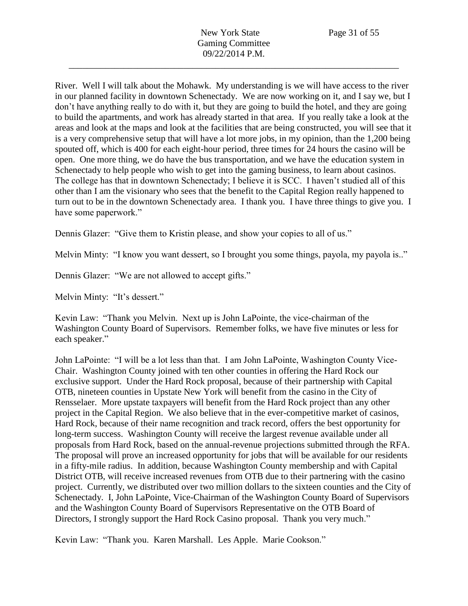River. Well I will talk about the Mohawk. My understanding is we will have access to the river in our planned facility in downtown Schenectady. We are now working on it, and I say we, but I don't have anything really to do with it, but they are going to build the hotel, and they are going to build the apartments, and work has already started in that area. If you really take a look at the areas and look at the maps and look at the facilities that are being constructed, you will see that it is a very comprehensive setup that will have a lot more jobs, in my opinion, than the 1,200 being spouted off, which is 400 for each eight-hour period, three times for 24 hours the casino will be open. One more thing, we do have the bus transportation, and we have the education system in Schenectady to help people who wish to get into the gaming business, to learn about casinos. The college has that in downtown Schenectady; I believe it is SCC. I haven't studied all of this other than I am the visionary who sees that the benefit to the Capital Region really happened to turn out to be in the downtown Schenectady area. I thank you. I have three things to give you. I have some paperwork."

Dennis Glazer: "Give them to Kristin please, and show your copies to all of us."

Melvin Minty: "I know you want dessert, so I brought you some things, payola, my payola is.."

Dennis Glazer: "We are not allowed to accept gifts."

Melvin Minty: "It's dessert."

Kevin Law: "Thank you Melvin. Next up is John LaPointe, the vice-chairman of the Washington County Board of Supervisors. Remember folks, we have five minutes or less for each speaker."

John LaPointe: "I will be a lot less than that. I am John LaPointe, Washington County Vice-Chair. Washington County joined with ten other counties in offering the Hard Rock our exclusive support. Under the Hard Rock proposal, because of their partnership with Capital OTB, nineteen counties in Upstate New York will benefit from the casino in the City of Rensselaer. More upstate taxpayers will benefit from the Hard Rock project than any other project in the Capital Region. We also believe that in the ever-competitive market of casinos, Hard Rock, because of their name recognition and track record, offers the best opportunity for long-term success. Washington County will receive the largest revenue available under all proposals from Hard Rock, based on the annual-revenue projections submitted through the RFA. The proposal will prove an increased opportunity for jobs that will be available for our residents in a fifty-mile radius. In addition, because Washington County membership and with Capital District OTB, will receive increased revenues from OTB due to their partnering with the casino project. Currently, we distributed over two million dollars to the sixteen counties and the City of Schenectady. I, John LaPointe, Vice-Chairman of the Washington County Board of Supervisors and the Washington County Board of Supervisors Representative on the OTB Board of Directors, I strongly support the Hard Rock Casino proposal. Thank you very much."

Kevin Law: "Thank you. Karen Marshall. Les Apple. Marie Cookson."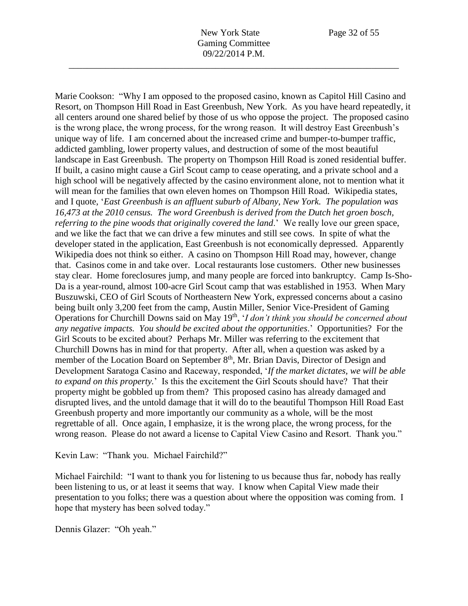Marie Cookson: "Why I am opposed to the proposed casino, known as Capitol Hill Casino and Resort, on Thompson Hill Road in East Greenbush, New York. As you have heard repeatedly, it all centers around one shared belief by those of us who oppose the project. The proposed casino is the wrong place, the wrong process, for the wrong reason. It will destroy East Greenbush's unique way of life. I am concerned about the increased crime and bumper-to-bumper traffic, addicted gambling, lower property values, and destruction of some of the most beautiful landscape in East Greenbush. The property on Thompson Hill Road is zoned residential buffer. If built, a casino might cause a Girl Scout camp to cease operating, and a private school and a high school will be negatively affected by the casino environment alone, not to mention what it will mean for the families that own eleven homes on Thompson Hill Road. Wikipedia states, and I quote, '*East Greenbush is an affluent suburb of Albany, New York. The population was 16,473 at the 2010 census. The word Greenbush is derived from the Dutch het groen bosch, referring to the pine woods that originally covered the land*.' We really love our green space, and we like the fact that we can drive a few minutes and still see cows. In spite of what the developer stated in the application, East Greenbush is not economically depressed. Apparently Wikipedia does not think so either. A casino on Thompson Hill Road may, however, change that. Casinos come in and take over. Local restaurants lose customers. Other new businesses stay clear. Home foreclosures jump, and many people are forced into bankruptcy. Camp Is-Sho-Da is a year-round, almost 100-acre Girl Scout camp that was established in 1953. When Mary Buszuwski, CEO of Girl Scouts of Northeastern New York, expressed concerns about a casino being built only 3,200 feet from the camp, Austin Miller, Senior Vice-President of Gaming Operations for Churchill Downs said on May 19th, '*I don't think you should be concerned about any negative impacts. You should be excited about the opportunities*.' Opportunities? For the Girl Scouts to be excited about? Perhaps Mr. Miller was referring to the excitement that Churchill Downs has in mind for that property. After all, when a question was asked by a member of the Location Board on September 8<sup>th</sup>, Mr. Brian Davis, Director of Design and Development Saratoga Casino and Raceway, responded, '*If the market dictates, we will be able to expand on this property.*' Is this the excitement the Girl Scouts should have? That their property might be gobbled up from them? This proposed casino has already damaged and disrupted lives, and the untold damage that it will do to the beautiful Thompson Hill Road East Greenbush property and more importantly our community as a whole, will be the most regrettable of all. Once again, I emphasize, it is the wrong place, the wrong process, for the wrong reason. Please do not award a license to Capital View Casino and Resort. Thank you."

Kevin Law: "Thank you. Michael Fairchild?"

Michael Fairchild: "I want to thank you for listening to us because thus far, nobody has really been listening to us, or at least it seems that way. I know when Capital View made their presentation to you folks; there was a question about where the opposition was coming from. I hope that mystery has been solved today."

Dennis Glazer: "Oh yeah."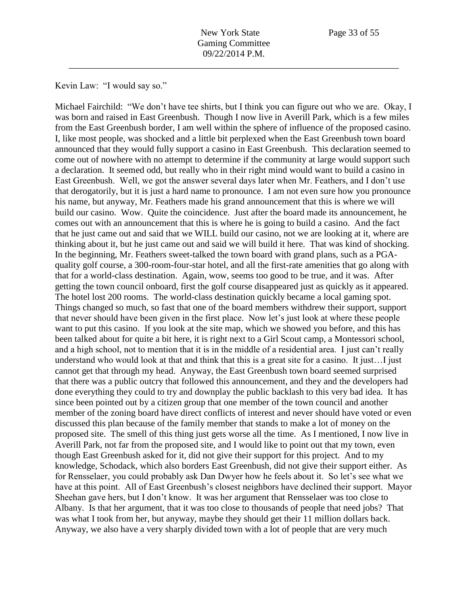Kevin Law: "I would say so."

Michael Fairchild: "We don't have tee shirts, but I think you can figure out who we are. Okay, I was born and raised in East Greenbush. Though I now live in Averill Park, which is a few miles from the East Greenbush border, I am well within the sphere of influence of the proposed casino. I, like most people, was shocked and a little bit perplexed when the East Greenbush town board announced that they would fully support a casino in East Greenbush. This declaration seemed to come out of nowhere with no attempt to determine if the community at large would support such a declaration. It seemed odd, but really who in their right mind would want to build a casino in East Greenbush. Well, we got the answer several days later when Mr. Feathers, and I don't use that derogatorily, but it is just a hard name to pronounce. I am not even sure how you pronounce his name, but anyway, Mr. Feathers made his grand announcement that this is where we will build our casino. Wow. Quite the coincidence. Just after the board made its announcement, he comes out with an announcement that this is where he is going to build a casino. And the fact that he just came out and said that we WILL build our casino, not we are looking at it, where are thinking about it, but he just came out and said we will build it here. That was kind of shocking. In the beginning, Mr. Feathers sweet-talked the town board with grand plans, such as a PGAquality golf course, a 300-room-four-star hotel, and all the first-rate amenities that go along with that for a world-class destination. Again, wow, seems too good to be true, and it was. After getting the town council onboard, first the golf course disappeared just as quickly as it appeared. The hotel lost 200 rooms. The world-class destination quickly became a local gaming spot. Things changed so much, so fast that one of the board members withdrew their support, support that never should have been given in the first place. Now let's just look at where these people want to put this casino. If you look at the site map, which we showed you before, and this has been talked about for quite a bit here, it is right next to a Girl Scout camp, a Montessori school, and a high school, not to mention that it is in the middle of a residential area. I just can't really understand who would look at that and think that this is a great site for a casino. It just…I just cannot get that through my head. Anyway, the East Greenbush town board seemed surprised that there was a public outcry that followed this announcement, and they and the developers had done everything they could to try and downplay the public backlash to this very bad idea. It has since been pointed out by a citizen group that one member of the town council and another member of the zoning board have direct conflicts of interest and never should have voted or even discussed this plan because of the family member that stands to make a lot of money on the proposed site. The smell of this thing just gets worse all the time. As I mentioned, I now live in Averill Park, not far from the proposed site, and I would like to point out that my town, even though East Greenbush asked for it, did not give their support for this project. And to my knowledge, Schodack, which also borders East Greenbush, did not give their support either. As for Rensselaer, you could probably ask Dan Dwyer how he feels about it. So let's see what we have at this point. All of East Greenbush's closest neighbors have declined their support. Mayor Sheehan gave hers, but I don't know. It was her argument that Rensselaer was too close to Albany. Is that her argument, that it was too close to thousands of people that need jobs? That was what I took from her, but anyway, maybe they should get their 11 million dollars back. Anyway, we also have a very sharply divided town with a lot of people that are very much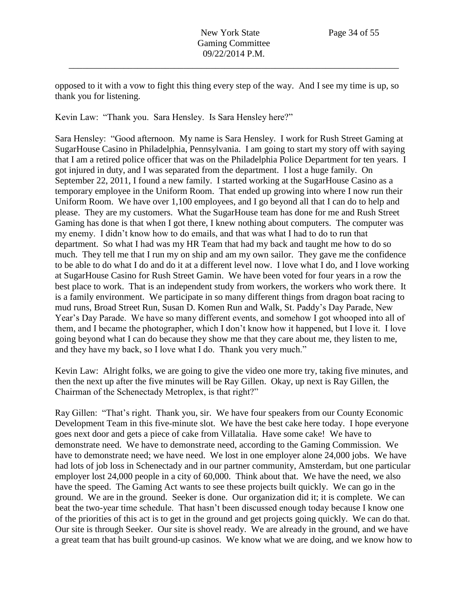opposed to it with a vow to fight this thing every step of the way. And I see my time is up, so thank you for listening.

Kevin Law: "Thank you. Sara Hensley. Is Sara Hensley here?"

Sara Hensley: "Good afternoon. My name is Sara Hensley. I work for Rush Street Gaming at SugarHouse Casino in Philadelphia, Pennsylvania. I am going to start my story off with saying that I am a retired police officer that was on the Philadelphia Police Department for ten years. I got injured in duty, and I was separated from the department. I lost a huge family. On September 22, 2011, I found a new family. I started working at the SugarHouse Casino as a temporary employee in the Uniform Room. That ended up growing into where I now run their Uniform Room. We have over 1,100 employees, and I go beyond all that I can do to help and please. They are my customers. What the SugarHouse team has done for me and Rush Street Gaming has done is that when I got there, I knew nothing about computers. The computer was my enemy. I didn't know how to do emails, and that was what I had to do to run that department. So what I had was my HR Team that had my back and taught me how to do so much. They tell me that I run my on ship and am my own sailor. They gave me the confidence to be able to do what I do and do it at a different level now. I love what I do, and I love working at SugarHouse Casino for Rush Street Gamin. We have been voted for four years in a row the best place to work. That is an independent study from workers, the workers who work there. It is a family environment. We participate in so many different things from dragon boat racing to mud runs, Broad Street Run, Susan D. Komen Run and Walk, St. Paddy's Day Parade, New Year's Day Parade. We have so many different events, and somehow I got whooped into all of them, and I became the photographer, which I don't know how it happened, but I love it. I love going beyond what I can do because they show me that they care about me, they listen to me, and they have my back, so I love what I do. Thank you very much."

Kevin Law: Alright folks, we are going to give the video one more try, taking five minutes, and then the next up after the five minutes will be Ray Gillen. Okay, up next is Ray Gillen, the Chairman of the Schenectady Metroplex, is that right?"

Ray Gillen: "That's right. Thank you, sir. We have four speakers from our County Economic Development Team in this five-minute slot. We have the best cake here today. I hope everyone goes next door and gets a piece of cake from Villatalia. Have some cake! We have to demonstrate need. We have to demonstrate need, according to the Gaming Commission. We have to demonstrate need; we have need. We lost in one employer alone 24,000 jobs. We have had lots of job loss in Schenectady and in our partner community, Amsterdam, but one particular employer lost 24,000 people in a city of 60,000. Think about that. We have the need, we also have the speed. The Gaming Act wants to see these projects built quickly. We can go in the ground. We are in the ground. Seeker is done. Our organization did it; it is complete. We can beat the two-year time schedule. That hasn't been discussed enough today because I know one of the priorities of this act is to get in the ground and get projects going quickly. We can do that. Our site is through Seeker. Our site is shovel ready. We are already in the ground, and we have a great team that has built ground-up casinos. We know what we are doing, and we know how to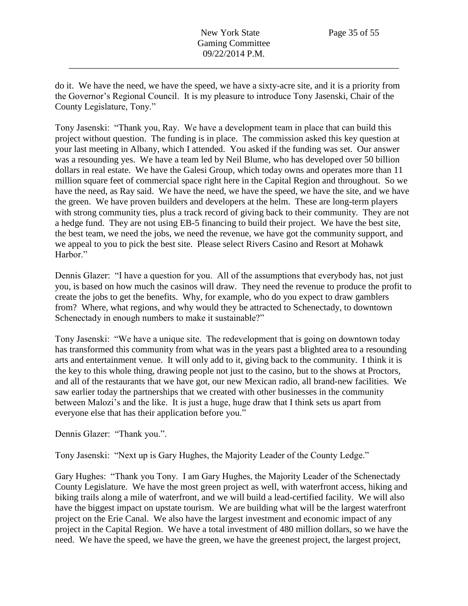do it. We have the need, we have the speed, we have a sixty-acre site, and it is a priority from the Governor's Regional Council. It is my pleasure to introduce Tony Jasenski, Chair of the County Legislature, Tony."

Tony Jasenski: "Thank you, Ray. We have a development team in place that can build this project without question. The funding is in place. The commission asked this key question at your last meeting in Albany, which I attended. You asked if the funding was set. Our answer was a resounding yes. We have a team led by Neil Blume, who has developed over 50 billion dollars in real estate. We have the Galesi Group, which today owns and operates more than 11 million square feet of commercial space right here in the Capital Region and throughout. So we have the need, as Ray said. We have the need, we have the speed, we have the site, and we have the green. We have proven builders and developers at the helm. These are long-term players with strong community ties, plus a track record of giving back to their community. They are not a hedge fund. They are not using EB-5 financing to build their project. We have the best site, the best team, we need the jobs, we need the revenue, we have got the community support, and we appeal to you to pick the best site. Please select Rivers Casino and Resort at Mohawk Harbor."

Dennis Glazer: "I have a question for you. All of the assumptions that everybody has, not just you, is based on how much the casinos will draw. They need the revenue to produce the profit to create the jobs to get the benefits. Why, for example, who do you expect to draw gamblers from? Where, what regions, and why would they be attracted to Schenectady, to downtown Schenectady in enough numbers to make it sustainable?"

Tony Jasenski: "We have a unique site. The redevelopment that is going on downtown today has transformed this community from what was in the years past a blighted area to a resounding arts and entertainment venue. It will only add to it, giving back to the community. I think it is the key to this whole thing, drawing people not just to the casino, but to the shows at Proctors, and all of the restaurants that we have got, our new Mexican radio, all brand-new facilities. We saw earlier today the partnerships that we created with other businesses in the community between Malozi's and the like. It is just a huge, huge draw that I think sets us apart from everyone else that has their application before you."

Dennis Glazer: "Thank you.".

Tony Jasenski: "Next up is Gary Hughes, the Majority Leader of the County Ledge."

Gary Hughes: "Thank you Tony. I am Gary Hughes, the Majority Leader of the Schenectady County Legislature. We have the most green project as well, with waterfront access, hiking and biking trails along a mile of waterfront, and we will build a lead-certified facility. We will also have the biggest impact on upstate tourism. We are building what will be the largest waterfront project on the Erie Canal. We also have the largest investment and economic impact of any project in the Capital Region. We have a total investment of 480 million dollars, so we have the need. We have the speed, we have the green, we have the greenest project, the largest project,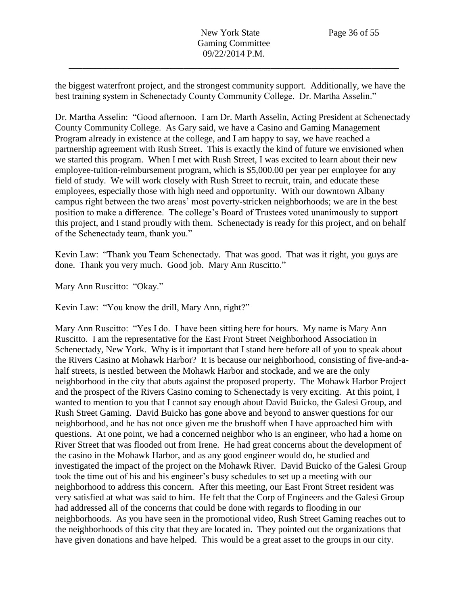the biggest waterfront project, and the strongest community support. Additionally, we have the best training system in Schenectady County Community College. Dr. Martha Asselin."

Dr. Martha Asselin: "Good afternoon. I am Dr. Marth Asselin, Acting President at Schenectady County Community College. As Gary said, we have a Casino and Gaming Management Program already in existence at the college, and I am happy to say, we have reached a partnership agreement with Rush Street. This is exactly the kind of future we envisioned when we started this program. When I met with Rush Street, I was excited to learn about their new employee-tuition-reimbursement program, which is \$5,000.00 per year per employee for any field of study. We will work closely with Rush Street to recruit, train, and educate these employees, especially those with high need and opportunity. With our downtown Albany campus right between the two areas' most poverty-stricken neighborhoods; we are in the best position to make a difference. The college's Board of Trustees voted unanimously to support this project, and I stand proudly with them. Schenectady is ready for this project, and on behalf of the Schenectady team, thank you."

Kevin Law: "Thank you Team Schenectady. That was good. That was it right, you guys are done. Thank you very much. Good job. Mary Ann Ruscitto."

Mary Ann Ruscitto: "Okay."

Kevin Law: "You know the drill, Mary Ann, right?"

Mary Ann Ruscitto: "Yes I do. I have been sitting here for hours. My name is Mary Ann Ruscitto. I am the representative for the East Front Street Neighborhood Association in Schenectady, New York. Why is it important that I stand here before all of you to speak about the Rivers Casino at Mohawk Harbor? It is because our neighborhood, consisting of five-and-ahalf streets, is nestled between the Mohawk Harbor and stockade, and we are the only neighborhood in the city that abuts against the proposed property. The Mohawk Harbor Project and the prospect of the Rivers Casino coming to Schenectady is very exciting. At this point, I wanted to mention to you that I cannot say enough about David Buicko, the Galesi Group, and Rush Street Gaming. David Buicko has gone above and beyond to answer questions for our neighborhood, and he has not once given me the brushoff when I have approached him with questions. At one point, we had a concerned neighbor who is an engineer, who had a home on River Street that was flooded out from Irene. He had great concerns about the development of the casino in the Mohawk Harbor, and as any good engineer would do, he studied and investigated the impact of the project on the Mohawk River. David Buicko of the Galesi Group took the time out of his and his engineer's busy schedules to set up a meeting with our neighborhood to address this concern. After this meeting, our East Front Street resident was very satisfied at what was said to him. He felt that the Corp of Engineers and the Galesi Group had addressed all of the concerns that could be done with regards to flooding in our neighborhoods. As you have seen in the promotional video, Rush Street Gaming reaches out to the neighborhoods of this city that they are located in. They pointed out the organizations that have given donations and have helped. This would be a great asset to the groups in our city.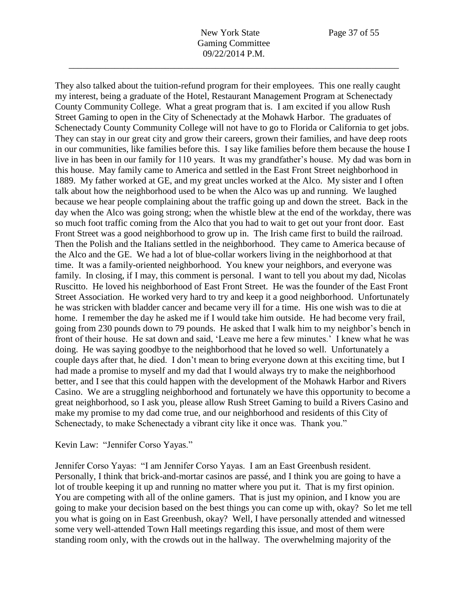They also talked about the tuition-refund program for their employees. This one really caught my interest, being a graduate of the Hotel, Restaurant Management Program at Schenectady County Community College. What a great program that is. I am excited if you allow Rush Street Gaming to open in the City of Schenectady at the Mohawk Harbor. The graduates of Schenectady County Community College will not have to go to Florida or California to get jobs. They can stay in our great city and grow their careers, grown their families, and have deep roots in our communities, like families before this. I say like families before them because the house I live in has been in our family for 110 years. It was my grandfather's house. My dad was born in this house. May family came to America and settled in the East Front Street neighborhood in 1889. My father worked at GE, and my great uncles worked at the Alco. My sister and I often talk about how the neighborhood used to be when the Alco was up and running. We laughed because we hear people complaining about the traffic going up and down the street. Back in the day when the Alco was going strong; when the whistle blew at the end of the workday, there was so much foot traffic coming from the Alco that you had to wait to get out your front door. East Front Street was a good neighborhood to grow up in. The Irish came first to build the railroad. Then the Polish and the Italians settled in the neighborhood. They came to America because of the Alco and the GE. We had a lot of blue-collar workers living in the neighborhood at that time. It was a family-oriented neighborhood. You knew your neighbors, and everyone was family. In closing, if I may, this comment is personal. I want to tell you about my dad, Nicolas Ruscitto. He loved his neighborhood of East Front Street. He was the founder of the East Front Street Association. He worked very hard to try and keep it a good neighborhood. Unfortunately he was stricken with bladder cancer and became very ill for a time. His one wish was to die at home. I remember the day he asked me if I would take him outside. He had become very frail, going from 230 pounds down to 79 pounds. He asked that I walk him to my neighbor's bench in front of their house. He sat down and said, 'Leave me here a few minutes.' I knew what he was doing. He was saying goodbye to the neighborhood that he loved so well. Unfortunately a couple days after that, he died. I don't mean to bring everyone down at this exciting time, but I had made a promise to myself and my dad that I would always try to make the neighborhood better, and I see that this could happen with the development of the Mohawk Harbor and Rivers Casino. We are a struggling neighborhood and fortunately we have this opportunity to become a great neighborhood, so I ask you, please allow Rush Street Gaming to build a Rivers Casino and make my promise to my dad come true, and our neighborhood and residents of this City of Schenectady, to make Schenectady a vibrant city like it once was. Thank you."

## Kevin Law: "Jennifer Corso Yayas."

Jennifer Corso Yayas: "I am Jennifer Corso Yayas. I am an East Greenbush resident. Personally, I think that brick-and-mortar casinos are passé, and I think you are going to have a lot of trouble keeping it up and running no matter where you put it. That is my first opinion. You are competing with all of the online gamers. That is just my opinion, and I know you are going to make your decision based on the best things you can come up with, okay? So let me tell you what is going on in East Greenbush, okay? Well, I have personally attended and witnessed some very well-attended Town Hall meetings regarding this issue, and most of them were standing room only, with the crowds out in the hallway. The overwhelming majority of the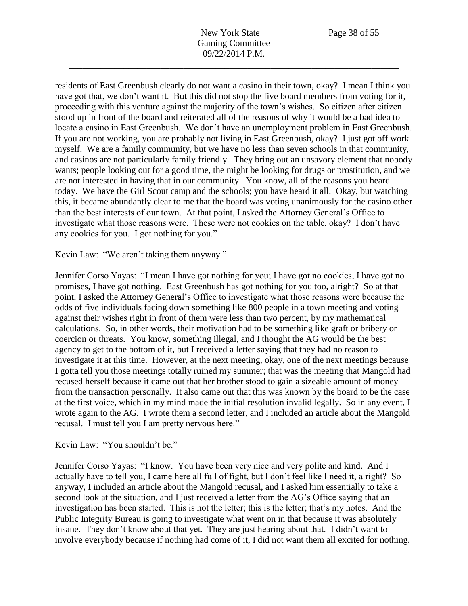residents of East Greenbush clearly do not want a casino in their town, okay? I mean I think you have got that, we don't want it. But this did not stop the five board members from voting for it, proceeding with this venture against the majority of the town's wishes. So citizen after citizen stood up in front of the board and reiterated all of the reasons of why it would be a bad idea to locate a casino in East Greenbush. We don't have an unemployment problem in East Greenbush. If you are not working, you are probably not living in East Greenbush, okay? I just got off work myself. We are a family community, but we have no less than seven schools in that community, and casinos are not particularly family friendly. They bring out an unsavory element that nobody wants; people looking out for a good time, the might be looking for drugs or prostitution, and we are not interested in having that in our community. You know, all of the reasons you heard today. We have the Girl Scout camp and the schools; you have heard it all. Okay, but watching this, it became abundantly clear to me that the board was voting unanimously for the casino other than the best interests of our town. At that point, I asked the Attorney General's Office to investigate what those reasons were. These were not cookies on the table, okay? I don't have any cookies for you. I got nothing for you."

Kevin Law: "We aren't taking them anyway."

Jennifer Corso Yayas: "I mean I have got nothing for you; I have got no cookies, I have got no promises, I have got nothing. East Greenbush has got nothing for you too, alright? So at that point, I asked the Attorney General's Office to investigate what those reasons were because the odds of five individuals facing down something like 800 people in a town meeting and voting against their wishes right in front of them were less than two percent, by my mathematical calculations. So, in other words, their motivation had to be something like graft or bribery or coercion or threats. You know, something illegal, and I thought the AG would be the best agency to get to the bottom of it, but I received a letter saying that they had no reason to investigate it at this time. However, at the next meeting, okay, one of the next meetings because I gotta tell you those meetings totally ruined my summer; that was the meeting that Mangold had recused herself because it came out that her brother stood to gain a sizeable amount of money from the transaction personally. It also came out that this was known by the board to be the case at the first voice, which in my mind made the initial resolution invalid legally. So in any event, I wrote again to the AG. I wrote them a second letter, and I included an article about the Mangold recusal. I must tell you I am pretty nervous here."

Kevin Law: "You shouldn't be."

Jennifer Corso Yayas: "I know. You have been very nice and very polite and kind. And I actually have to tell you, I came here all full of fight, but I don't feel like I need it, alright? So anyway, I included an article about the Mangold recusal, and I asked him essentially to take a second look at the situation, and I just received a letter from the AG's Office saying that an investigation has been started. This is not the letter; this is the letter; that's my notes. And the Public Integrity Bureau is going to investigate what went on in that because it was absolutely insane. They don't know about that yet. They are just hearing about that. I didn't want to involve everybody because if nothing had come of it, I did not want them all excited for nothing.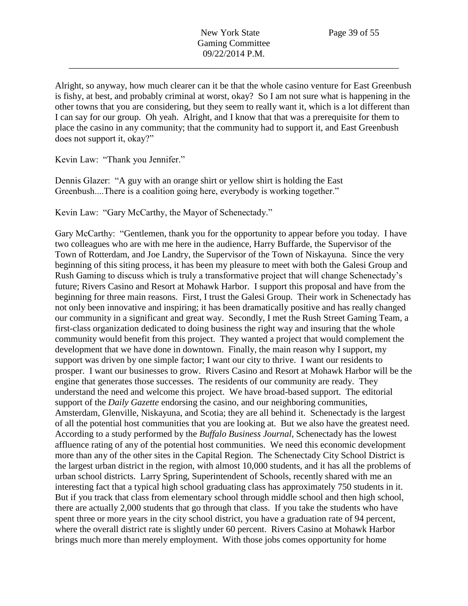Alright, so anyway, how much clearer can it be that the whole casino venture for East Greenbush is fishy, at best, and probably criminal at worst, okay? So I am not sure what is happening in the other towns that you are considering, but they seem to really want it, which is a lot different than I can say for our group. Oh yeah. Alright, and I know that that was a prerequisite for them to place the casino in any community; that the community had to support it, and East Greenbush does not support it, okay?"

Kevin Law: "Thank you Jennifer."

Dennis Glazer: "A guy with an orange shirt or yellow shirt is holding the East Greenbush....There is a coalition going here, everybody is working together."

Kevin Law: "Gary McCarthy, the Mayor of Schenectady."

Gary McCarthy: "Gentlemen, thank you for the opportunity to appear before you today. I have two colleagues who are with me here in the audience, Harry Buffarde, the Supervisor of the Town of Rotterdam, and Joe Landry, the Supervisor of the Town of Niskayuna. Since the very beginning of this siting process, it has been my pleasure to meet with both the Galesi Group and Rush Gaming to discuss which is truly a transformative project that will change Schenectady's future; Rivers Casino and Resort at Mohawk Harbor. I support this proposal and have from the beginning for three main reasons. First, I trust the Galesi Group. Their work in Schenectady has not only been innovative and inspiring; it has been dramatically positive and has really changed our community in a significant and great way. Secondly, I met the Rush Street Gaming Team, a first-class organization dedicated to doing business the right way and insuring that the whole community would benefit from this project. They wanted a project that would complement the development that we have done in downtown. Finally, the main reason why I support, my support was driven by one simple factor; I want our city to thrive. I want our residents to prosper. I want our businesses to grow. Rivers Casino and Resort at Mohawk Harbor will be the engine that generates those successes. The residents of our community are ready. They understand the need and welcome this project. We have broad-based support. The editorial support of the *Daily Gazette* endorsing the casino, and our neighboring communities, Amsterdam, Glenville, Niskayuna, and Scotia; they are all behind it. Schenectady is the largest of all the potential host communities that you are looking at. But we also have the greatest need. According to a study performed by the *Buffalo Business Journal*, Schenectady has the lowest affluence rating of any of the potential host communities. We need this economic development more than any of the other sites in the Capital Region. The Schenectady City School District is the largest urban district in the region, with almost 10,000 students, and it has all the problems of urban school districts. Larry Spring, Superintendent of Schools, recently shared with me an interesting fact that a typical high school graduating class has approximately 750 students in it. But if you track that class from elementary school through middle school and then high school, there are actually 2,000 students that go through that class. If you take the students who have spent three or more years in the city school district, you have a graduation rate of 94 percent, where the overall district rate is slightly under 60 percent. Rivers Casino at Mohawk Harbor brings much more than merely employment. With those jobs comes opportunity for home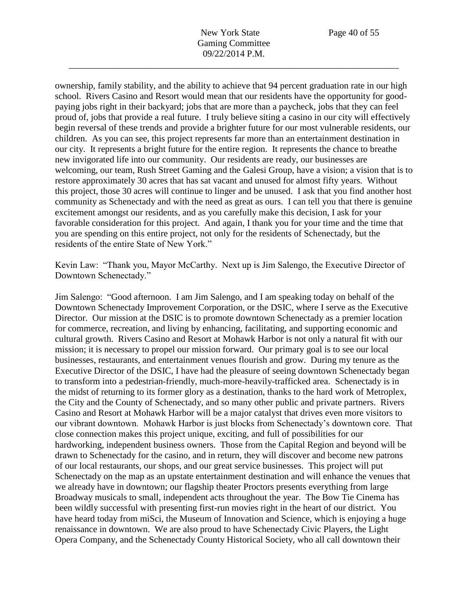ownership, family stability, and the ability to achieve that 94 percent graduation rate in our high school. Rivers Casino and Resort would mean that our residents have the opportunity for goodpaying jobs right in their backyard; jobs that are more than a paycheck, jobs that they can feel proud of, jobs that provide a real future. I truly believe siting a casino in our city will effectively begin reversal of these trends and provide a brighter future for our most vulnerable residents, our children. As you can see, this project represents far more than an entertainment destination in our city. It represents a bright future for the entire region. It represents the chance to breathe new invigorated life into our community. Our residents are ready, our businesses are welcoming, our team, Rush Street Gaming and the Galesi Group, have a vision; a vision that is to restore approximately 30 acres that has sat vacant and unused for almost fifty years. Without this project, those 30 acres will continue to linger and be unused. I ask that you find another host community as Schenectady and with the need as great as ours. I can tell you that there is genuine excitement amongst our residents, and as you carefully make this decision, I ask for your favorable consideration for this project. And again, I thank you for your time and the time that you are spending on this entire project, not only for the residents of Schenectady, but the residents of the entire State of New York."

Kevin Law: "Thank you, Mayor McCarthy. Next up is Jim Salengo, the Executive Director of Downtown Schenectady."

Jim Salengo: "Good afternoon. I am Jim Salengo, and I am speaking today on behalf of the Downtown Schenectady Improvement Corporation, or the DSIC, where I serve as the Executive Director. Our mission at the DSIC is to promote downtown Schenectady as a premier location for commerce, recreation, and living by enhancing, facilitating, and supporting economic and cultural growth. Rivers Casino and Resort at Mohawk Harbor is not only a natural fit with our mission; it is necessary to propel our mission forward. Our primary goal is to see our local businesses, restaurants, and entertainment venues flourish and grow. During my tenure as the Executive Director of the DSIC, I have had the pleasure of seeing downtown Schenectady began to transform into a pedestrian-friendly, much-more-heavily-trafficked area. Schenectady is in the midst of returning to its former glory as a destination, thanks to the hard work of Metroplex, the City and the County of Schenectady, and so many other public and private partners. Rivers Casino and Resort at Mohawk Harbor will be a major catalyst that drives even more visitors to our vibrant downtown. Mohawk Harbor is just blocks from Schenectady's downtown core. That close connection makes this project unique, exciting, and full of possibilities for our hardworking, independent business owners. Those from the Capital Region and beyond will be drawn to Schenectady for the casino, and in return, they will discover and become new patrons of our local restaurants, our shops, and our great service businesses. This project will put Schenectady on the map as an upstate entertainment destination and will enhance the venues that we already have in downtown; our flagship theater Proctors presents everything from large Broadway musicals to small, independent acts throughout the year. The Bow Tie Cinema has been wildly successful with presenting first-run movies right in the heart of our district. You have heard today from miSci, the Museum of Innovation and Science, which is enjoying a huge renaissance in downtown. We are also proud to have Schenectady Civic Players, the Light Opera Company, and the Schenectady County Historical Society, who all call downtown their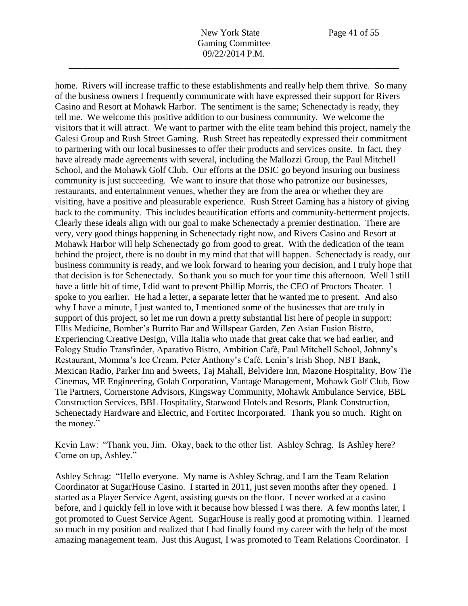home. Rivers will increase traffic to these establishments and really help them thrive. So many of the business owners I frequently communicate with have expressed their support for Rivers Casino and Resort at Mohawk Harbor. The sentiment is the same; Schenectady is ready, they tell me. We welcome this positive addition to our business community. We welcome the visitors that it will attract. We want to partner with the elite team behind this project, namely the Galesi Group and Rush Street Gaming. Rush Street has repeatedly expressed their commitment to partnering with our local businesses to offer their products and services onsite. In fact, they have already made agreements with several, including the Mallozzi Group, the Paul Mitchell School, and the Mohawk Golf Club. Our efforts at the DSIC go beyond insuring our business community is just succeeding. We want to insure that those who patronize our businesses, restaurants, and entertainment venues, whether they are from the area or whether they are visiting, have a positive and pleasurable experience. Rush Street Gaming has a history of giving back to the community. This includes beautification efforts and community-betterment projects. Clearly these ideals align with our goal to make Schenectady a premier destination. There are very, very good things happening in Schenectady right now, and Rivers Casino and Resort at Mohawk Harbor will help Schenectady go from good to great. With the dedication of the team behind the project, there is no doubt in my mind that that will happen. Schenectady is ready, our business community is ready, and we look forward to hearing your decision, and I truly hope that that decision is for Schenectady. So thank you so much for your time this afternoon. Well I still have a little bit of time, I did want to present Phillip Morris, the CEO of Proctors Theater. I spoke to you earlier. He had a letter, a separate letter that he wanted me to present. And also why I have a minute, I just wanted to, I mentioned some of the businesses that are truly in support of this project, so let me run down a pretty substantial list here of people in support: Ellis Medicine, Bomber's Burrito Bar and Willspear Garden, Zen Asian Fusion Bistro, Experiencing Creative Design, Villa Italia who made that great cake that we had earlier, and Fology Studio Transfinder, Aparativo Bistro, Ambition Café, Paul Mitchell School, Johnny's Restaurant, Momma's Ice Cream, Peter Anthony's Café, Lenin's Irish Shop, NBT Bank, Mexican Radio, Parker Inn and Sweets, Taj Mahall, Belvidere Inn, Mazone Hospitality, Bow Tie Cinemas, ME Engineering, Golab Corporation, Vantage Management, Mohawk Golf Club, Bow Tie Partners, Cornerstone Advisors, Kingsway Community, Mohawk Ambulance Service, BBL Construction Services, BBL Hospitality, Starwood Hotels and Resorts, Plank Construction, Schenectady Hardware and Electric, and Fortitec Incorporated. Thank you so much. Right on the money."

Kevin Law: "Thank you, Jim. Okay, back to the other list. Ashley Schrag. Is Ashley here? Come on up, Ashley."

Ashley Schrag: "Hello everyone. My name is Ashley Schrag, and I am the Team Relation Coordinator at SugarHouse Casino. I started in 2011, just seven months after they opened. I started as a Player Service Agent, assisting guests on the floor. I never worked at a casino before, and I quickly fell in love with it because how blessed I was there. A few months later, I got promoted to Guest Service Agent. SugarHouse is really good at promoting within. I learned so much in my position and realized that I had finally found my career with the help of the most amazing management team. Just this August, I was promoted to Team Relations Coordinator. I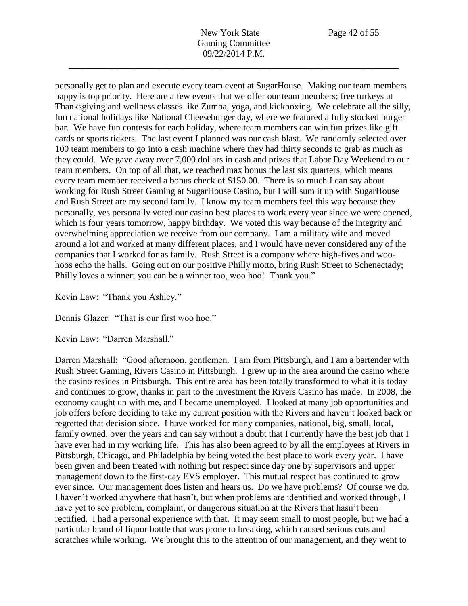personally get to plan and execute every team event at SugarHouse. Making our team members happy is top priority. Here are a few events that we offer our team members; free turkeys at Thanksgiving and wellness classes like Zumba, yoga, and kickboxing. We celebrate all the silly, fun national holidays like National Cheeseburger day, where we featured a fully stocked burger bar. We have fun contests for each holiday, where team members can win fun prizes like gift cards or sports tickets. The last event I planned was our cash blast. We randomly selected over 100 team members to go into a cash machine where they had thirty seconds to grab as much as they could. We gave away over 7,000 dollars in cash and prizes that Labor Day Weekend to our team members. On top of all that, we reached max bonus the last six quarters, which means every team member received a bonus check of \$150.00. There is so much I can say about working for Rush Street Gaming at SugarHouse Casino, but I will sum it up with SugarHouse and Rush Street are my second family. I know my team members feel this way because they personally, yes personally voted our casino best places to work every year since we were opened, which is four years tomorrow, happy birthday. We voted this way because of the integrity and overwhelming appreciation we receive from our company. I am a military wife and moved around a lot and worked at many different places, and I would have never considered any of the companies that I worked for as family. Rush Street is a company where high-fives and woohoos echo the halls. Going out on our positive Philly motto, bring Rush Street to Schenectady; Philly loves a winner; you can be a winner too, woo hoo! Thank you."

Kevin Law: "Thank you Ashley."

Dennis Glazer: "That is our first woo hoo."

Kevin Law: "Darren Marshall."

Darren Marshall: "Good afternoon, gentlemen. I am from Pittsburgh, and I am a bartender with Rush Street Gaming, Rivers Casino in Pittsburgh. I grew up in the area around the casino where the casino resides in Pittsburgh. This entire area has been totally transformed to what it is today and continues to grow, thanks in part to the investment the Rivers Casino has made. In 2008, the economy caught up with me, and I became unemployed. I looked at many job opportunities and job offers before deciding to take my current position with the Rivers and haven't looked back or regretted that decision since. I have worked for many companies, national, big, small, local, family owned, over the years and can say without a doubt that I currently have the best job that I have ever had in my working life. This has also been agreed to by all the employees at Rivers in Pittsburgh, Chicago, and Philadelphia by being voted the best place to work every year. I have been given and been treated with nothing but respect since day one by supervisors and upper management down to the first-day EVS employer. This mutual respect has continued to grow ever since. Our management does listen and hears us. Do we have problems? Of course we do. I haven't worked anywhere that hasn't, but when problems are identified and worked through, I have yet to see problem, complaint, or dangerous situation at the Rivers that hasn't been rectified. I had a personal experience with that. It may seem small to most people, but we had a particular brand of liquor bottle that was prone to breaking, which caused serious cuts and scratches while working. We brought this to the attention of our management, and they went to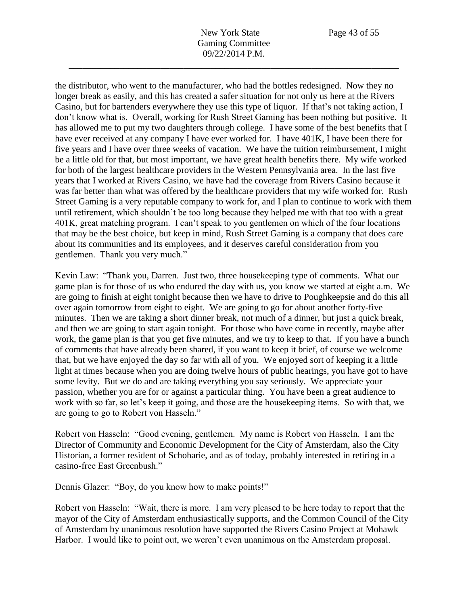New York State Page 43 of 55 Gaming Committee 09/22/2014 P.M.

\_\_\_\_\_\_\_\_\_\_\_\_\_\_\_\_\_\_\_\_\_\_\_\_\_\_\_\_\_\_\_\_\_\_\_\_\_\_\_\_\_\_\_\_\_\_\_\_\_\_\_\_\_\_\_\_\_\_\_\_\_\_\_\_\_\_\_\_\_\_\_\_

the distributor, who went to the manufacturer, who had the bottles redesigned. Now they no longer break as easily, and this has created a safer situation for not only us here at the Rivers Casino, but for bartenders everywhere they use this type of liquor. If that's not taking action, I don't know what is. Overall, working for Rush Street Gaming has been nothing but positive. It has allowed me to put my two daughters through college. I have some of the best benefits that I have ever received at any company I have ever worked for. I have 401K, I have been there for five years and I have over three weeks of vacation. We have the tuition reimbursement, I might be a little old for that, but most important, we have great health benefits there. My wife worked for both of the largest healthcare providers in the Western Pennsylvania area. In the last five years that I worked at Rivers Casino, we have had the coverage from Rivers Casino because it was far better than what was offered by the healthcare providers that my wife worked for. Rush Street Gaming is a very reputable company to work for, and I plan to continue to work with them until retirement, which shouldn't be too long because they helped me with that too with a great 401K, great matching program. I can't speak to you gentlemen on which of the four locations that may be the best choice, but keep in mind, Rush Street Gaming is a company that does care about its communities and its employees, and it deserves careful consideration from you gentlemen. Thank you very much."

Kevin Law: "Thank you, Darren. Just two, three housekeeping type of comments. What our game plan is for those of us who endured the day with us, you know we started at eight a.m. We are going to finish at eight tonight because then we have to drive to Poughkeepsie and do this all over again tomorrow from eight to eight. We are going to go for about another forty-five minutes. Then we are taking a short dinner break, not much of a dinner, but just a quick break, and then we are going to start again tonight. For those who have come in recently, maybe after work, the game plan is that you get five minutes, and we try to keep to that. If you have a bunch of comments that have already been shared, if you want to keep it brief, of course we welcome that, but we have enjoyed the day so far with all of you. We enjoyed sort of keeping it a little light at times because when you are doing twelve hours of public hearings, you have got to have some levity. But we do and are taking everything you say seriously. We appreciate your passion, whether you are for or against a particular thing. You have been a great audience to work with so far, so let's keep it going, and those are the housekeeping items. So with that, we are going to go to Robert von Hasseln."

Robert von Hasseln: "Good evening, gentlemen. My name is Robert von Hasseln. I am the Director of Community and Economic Development for the City of Amsterdam, also the City Historian, a former resident of Schoharie, and as of today, probably interested in retiring in a casino-free East Greenbush."

Dennis Glazer: "Boy, do you know how to make points!"

Robert von Hasseln: "Wait, there is more. I am very pleased to be here today to report that the mayor of the City of Amsterdam enthusiastically supports, and the Common Council of the City of Amsterdam by unanimous resolution have supported the Rivers Casino Project at Mohawk Harbor. I would like to point out, we weren't even unanimous on the Amsterdam proposal.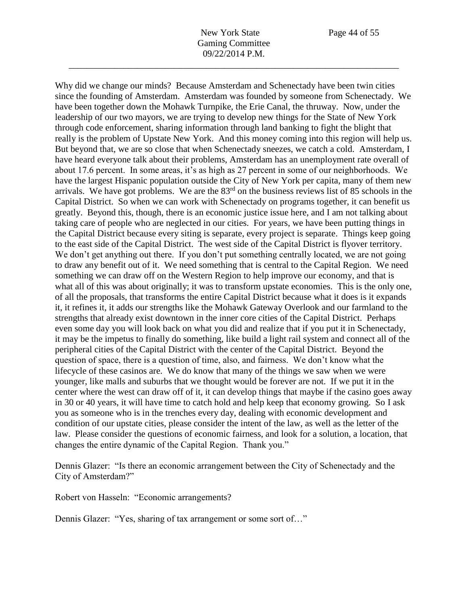Why did we change our minds? Because Amsterdam and Schenectady have been twin cities

since the founding of Amsterdam. Amsterdam was founded by someone from Schenectady. We have been together down the Mohawk Turnpike, the Erie Canal, the thruway. Now, under the leadership of our two mayors, we are trying to develop new things for the State of New York through code enforcement, sharing information through land banking to fight the blight that really is the problem of Upstate New York. And this money coming into this region will help us. But beyond that, we are so close that when Schenectady sneezes, we catch a cold. Amsterdam, I have heard everyone talk about their problems, Amsterdam has an unemployment rate overall of about 17.6 percent. In some areas, it's as high as 27 percent in some of our neighborhoods. We have the largest Hispanic population outside the City of New York per capita, many of them new arrivals. We have got problems. We are the 83rd on the business reviews list of 85 schools in the Capital District. So when we can work with Schenectady on programs together, it can benefit us greatly. Beyond this, though, there is an economic justice issue here, and I am not talking about taking care of people who are neglected in our cities. For years, we have been putting things in the Capital District because every siting is separate, every project is separate. Things keep going to the east side of the Capital District. The west side of the Capital District is flyover territory. We don't get anything out there. If you don't put something centrally located, we are not going to draw any benefit out of it. We need something that is central to the Capital Region. We need something we can draw off on the Western Region to help improve our economy, and that is what all of this was about originally; it was to transform upstate economies. This is the only one, of all the proposals, that transforms the entire Capital District because what it does is it expands it, it refines it, it adds our strengths like the Mohawk Gateway Overlook and our farmland to the strengths that already exist downtown in the inner core cities of the Capital District. Perhaps even some day you will look back on what you did and realize that if you put it in Schenectady, it may be the impetus to finally do something, like build a light rail system and connect all of the peripheral cities of the Capital District with the center of the Capital District. Beyond the question of space, there is a question of time, also, and fairness. We don't know what the lifecycle of these casinos are. We do know that many of the things we saw when we were younger, like malls and suburbs that we thought would be forever are not. If we put it in the center where the west can draw off of it, it can develop things that maybe if the casino goes away in 30 or 40 years, it will have time to catch hold and help keep that economy growing. So I ask you as someone who is in the trenches every day, dealing with economic development and condition of our upstate cities, please consider the intent of the law, as well as the letter of the law. Please consider the questions of economic fairness, and look for a solution, a location, that changes the entire dynamic of the Capital Region. Thank you."

Dennis Glazer: "Is there an economic arrangement between the City of Schenectady and the City of Amsterdam?"

Robert von Hasseln: "Economic arrangements?

Dennis Glazer: "Yes, sharing of tax arrangement or some sort of…"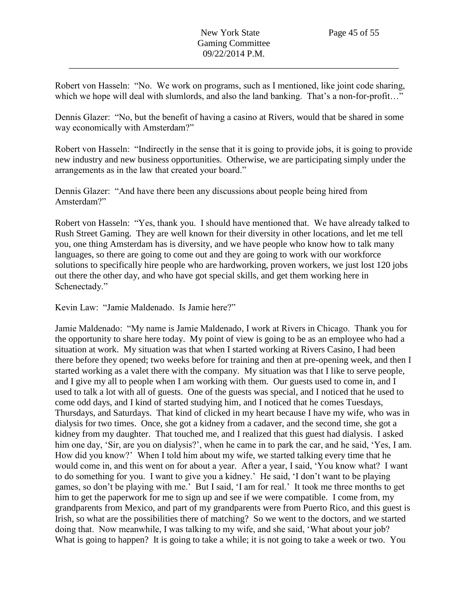Robert von Hasseln: "No. We work on programs, such as I mentioned, like joint code sharing, which we hope will deal with slumlords, and also the land banking. That's a non-for-profit..."

Dennis Glazer: "No, but the benefit of having a casino at Rivers, would that be shared in some way economically with Amsterdam?"

Robert von Hasseln: "Indirectly in the sense that it is going to provide jobs, it is going to provide new industry and new business opportunities. Otherwise, we are participating simply under the arrangements as in the law that created your board."

Dennis Glazer: "And have there been any discussions about people being hired from Amsterdam?"

Robert von Hasseln: "Yes, thank you. I should have mentioned that. We have already talked to Rush Street Gaming. They are well known for their diversity in other locations, and let me tell you, one thing Amsterdam has is diversity, and we have people who know how to talk many languages, so there are going to come out and they are going to work with our workforce solutions to specifically hire people who are hardworking, proven workers, we just lost 120 jobs out there the other day, and who have got special skills, and get them working here in Schenectady."

Kevin Law: "Jamie Maldenado. Is Jamie here?"

Jamie Maldenado: "My name is Jamie Maldenado, I work at Rivers in Chicago. Thank you for the opportunity to share here today. My point of view is going to be as an employee who had a situation at work. My situation was that when I started working at Rivers Casino, I had been there before they opened; two weeks before for training and then at pre-opening week, and then I started working as a valet there with the company. My situation was that I like to serve people, and I give my all to people when I am working with them. Our guests used to come in, and I used to talk a lot with all of guests. One of the guests was special, and I noticed that he used to come odd days, and I kind of started studying him, and I noticed that he comes Tuesdays, Thursdays, and Saturdays. That kind of clicked in my heart because I have my wife, who was in dialysis for two times. Once, she got a kidney from a cadaver, and the second time, she got a kidney from my daughter. That touched me, and I realized that this guest had dialysis. I asked him one day, 'Sir, are you on dialysis?', when he came in to park the car, and he said, 'Yes, I am. How did you know?' When I told him about my wife, we started talking every time that he would come in, and this went on for about a year. After a year, I said, 'You know what? I want to do something for you. I want to give you a kidney.' He said, 'I don't want to be playing games, so don't be playing with me.' But I said, 'I am for real.' It took me three months to get him to get the paperwork for me to sign up and see if we were compatible. I come from, my grandparents from Mexico, and part of my grandparents were from Puerto Rico, and this guest is Irish, so what are the possibilities there of matching? So we went to the doctors, and we started doing that. Now meanwhile, I was talking to my wife, and she said, 'What about your job? What is going to happen? It is going to take a while; it is not going to take a week or two. You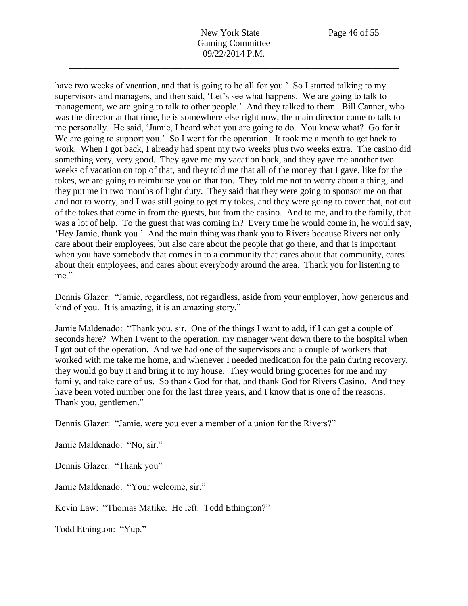New York State Page 46 of 55 Gaming Committee 09/22/2014 P.M.

\_\_\_\_\_\_\_\_\_\_\_\_\_\_\_\_\_\_\_\_\_\_\_\_\_\_\_\_\_\_\_\_\_\_\_\_\_\_\_\_\_\_\_\_\_\_\_\_\_\_\_\_\_\_\_\_\_\_\_\_\_\_\_\_\_\_\_\_\_\_\_\_

have two weeks of vacation, and that is going to be all for you.' So I started talking to my supervisors and managers, and then said, 'Let's see what happens. We are going to talk to management, we are going to talk to other people.' And they talked to them. Bill Canner, who was the director at that time, he is somewhere else right now, the main director came to talk to me personally. He said, 'Jamie, I heard what you are going to do. You know what? Go for it. We are going to support you.' So I went for the operation. It took me a month to get back to work. When I got back, I already had spent my two weeks plus two weeks extra. The casino did something very, very good. They gave me my vacation back, and they gave me another two weeks of vacation on top of that, and they told me that all of the money that I gave, like for the tokes, we are going to reimburse you on that too. They told me not to worry about a thing, and they put me in two months of light duty. They said that they were going to sponsor me on that and not to worry, and I was still going to get my tokes, and they were going to cover that, not out of the tokes that come in from the guests, but from the casino. And to me, and to the family, that was a lot of help. To the guest that was coming in? Every time he would come in, he would say, 'Hey Jamie, thank you.' And the main thing was thank you to Rivers because Rivers not only care about their employees, but also care about the people that go there, and that is important when you have somebody that comes in to a community that cares about that community, cares about their employees, and cares about everybody around the area. Thank you for listening to me."

Dennis Glazer: "Jamie, regardless, not regardless, aside from your employer, how generous and kind of you. It is amazing, it is an amazing story."

Jamie Maldenado: "Thank you, sir. One of the things I want to add, if I can get a couple of seconds here? When I went to the operation, my manager went down there to the hospital when I got out of the operation. And we had one of the supervisors and a couple of workers that worked with me take me home, and whenever I needed medication for the pain during recovery, they would go buy it and bring it to my house. They would bring groceries for me and my family, and take care of us. So thank God for that, and thank God for Rivers Casino. And they have been voted number one for the last three years, and I know that is one of the reasons. Thank you, gentlemen."

Dennis Glazer: "Jamie, were you ever a member of a union for the Rivers?"

Jamie Maldenado: "No, sir."

Dennis Glazer: "Thank you"

Jamie Maldenado: "Your welcome, sir."

Kevin Law: "Thomas Matike. He left. Todd Ethington?"

Todd Ethington: "Yup."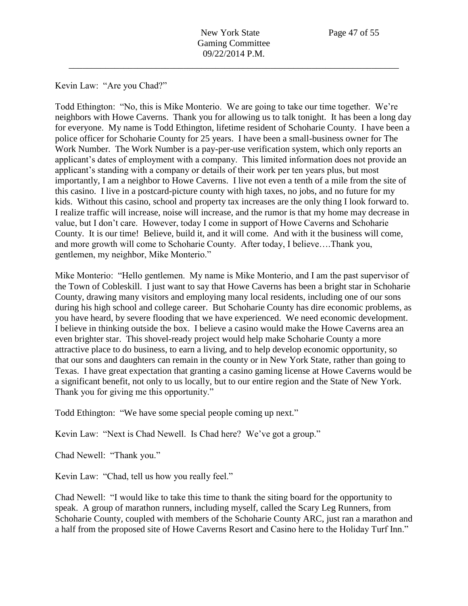Kevin Law: "Are you Chad?"

Todd Ethington: "No, this is Mike Monterio. We are going to take our time together. We're neighbors with Howe Caverns. Thank you for allowing us to talk tonight. It has been a long day for everyone. My name is Todd Ethington, lifetime resident of Schoharie County. I have been a police officer for Schoharie County for 25 years. I have been a small-business owner for The Work Number. The Work Number is a pay-per-use verification system, which only reports an applicant's dates of employment with a company. This limited information does not provide an applicant's standing with a company or details of their work per ten years plus, but most importantly, I am a neighbor to Howe Caverns. I live not even a tenth of a mile from the site of this casino. I live in a postcard-picture county with high taxes, no jobs, and no future for my kids. Without this casino, school and property tax increases are the only thing I look forward to. I realize traffic will increase, noise will increase, and the rumor is that my home may decrease in value, but I don't care. However, today I come in support of Howe Caverns and Schoharie County. It is our time! Believe, build it, and it will come. And with it the business will come, and more growth will come to Schoharie County. After today, I believe….Thank you, gentlemen, my neighbor, Mike Monterio."

Mike Monterio: "Hello gentlemen. My name is Mike Monterio, and I am the past supervisor of the Town of Cobleskill. I just want to say that Howe Caverns has been a bright star in Schoharie County, drawing many visitors and employing many local residents, including one of our sons during his high school and college career. But Schoharie County has dire economic problems, as you have heard, by severe flooding that we have experienced. We need economic development. I believe in thinking outside the box. I believe a casino would make the Howe Caverns area an even brighter star. This shovel-ready project would help make Schoharie County a more attractive place to do business, to earn a living, and to help develop economic opportunity, so that our sons and daughters can remain in the county or in New York State, rather than going to Texas. I have great expectation that granting a casino gaming license at Howe Caverns would be a significant benefit, not only to us locally, but to our entire region and the State of New York. Thank you for giving me this opportunity."

Todd Ethington: "We have some special people coming up next."

Kevin Law: "Next is Chad Newell. Is Chad here? We've got a group."

Chad Newell: "Thank you."

Kevin Law: "Chad, tell us how you really feel."

Chad Newell: "I would like to take this time to thank the siting board for the opportunity to speak. A group of marathon runners, including myself, called the Scary Leg Runners, from Schoharie County, coupled with members of the Schoharie County ARC, just ran a marathon and a half from the proposed site of Howe Caverns Resort and Casino here to the Holiday Turf Inn."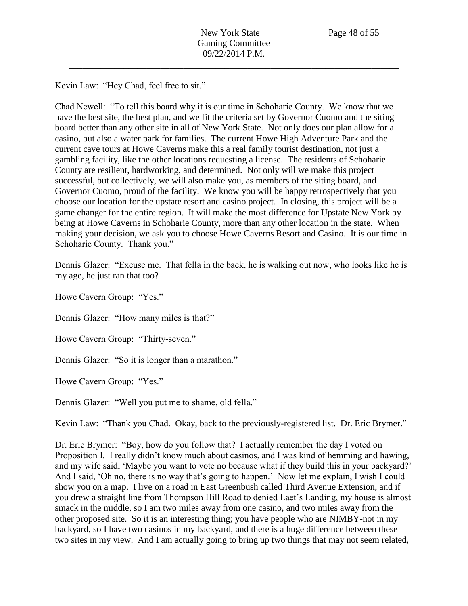Kevin Law: "Hey Chad, feel free to sit."

Chad Newell: "To tell this board why it is our time in Schoharie County. We know that we have the best site, the best plan, and we fit the criteria set by Governor Cuomo and the siting board better than any other site in all of New York State. Not only does our plan allow for a casino, but also a water park for families. The current Howe High Adventure Park and the current cave tours at Howe Caverns make this a real family tourist destination, not just a gambling facility, like the other locations requesting a license. The residents of Schoharie County are resilient, hardworking, and determined. Not only will we make this project successful, but collectively, we will also make you, as members of the siting board, and Governor Cuomo, proud of the facility. We know you will be happy retrospectively that you choose our location for the upstate resort and casino project. In closing, this project will be a game changer for the entire region. It will make the most difference for Upstate New York by being at Howe Caverns in Schoharie County, more than any other location in the state. When making your decision, we ask you to choose Howe Caverns Resort and Casino. It is our time in Schoharie County. Thank you."

Dennis Glazer: "Excuse me. That fella in the back, he is walking out now, who looks like he is my age, he just ran that too?

Howe Cavern Group: "Yes."

Dennis Glazer: "How many miles is that?"

Howe Cavern Group: "Thirty-seven."

Dennis Glazer: "So it is longer than a marathon."

Howe Cavern Group: "Yes."

Dennis Glazer: "Well you put me to shame, old fella."

Kevin Law: "Thank you Chad. Okay, back to the previously-registered list. Dr. Eric Brymer."

Dr. Eric Brymer: "Boy, how do you follow that? I actually remember the day I voted on Proposition I. I really didn't know much about casinos, and I was kind of hemming and hawing, and my wife said, 'Maybe you want to vote no because what if they build this in your backyard?' And I said, 'Oh no, there is no way that's going to happen.' Now let me explain, I wish I could show you on a map. I live on a road in East Greenbush called Third Avenue Extension, and if you drew a straight line from Thompson Hill Road to denied Laet's Landing, my house is almost smack in the middle, so I am two miles away from one casino, and two miles away from the other proposed site. So it is an interesting thing; you have people who are NIMBY-not in my backyard, so I have two casinos in my backyard, and there is a huge difference between these two sites in my view. And I am actually going to bring up two things that may not seem related,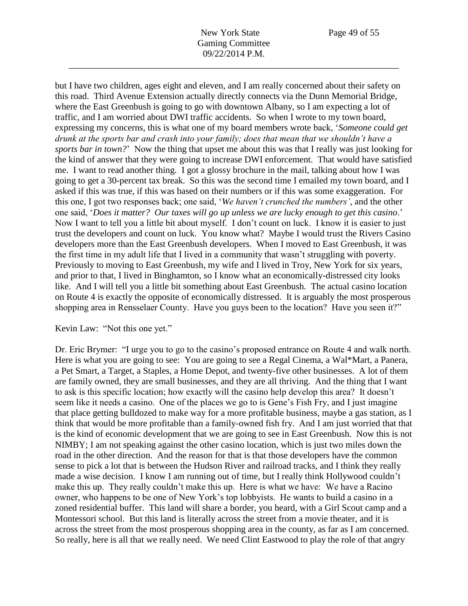but I have two children, ages eight and eleven, and I am really concerned about their safety on this road. Third Avenue Extension actually directly connects via the Dunn Memorial Bridge, where the East Greenbush is going to go with downtown Albany, so I am expecting a lot of traffic, and I am worried about DWI traffic accidents. So when I wrote to my town board, expressing my concerns, this is what one of my board members wrote back, '*Someone could get drunk at the sports bar and crash into your family; does that mean that we shouldn't have a sports bar in town?*' Now the thing that upset me about this was that I really was just looking for the kind of answer that they were going to increase DWI enforcement. That would have satisfied me. I want to read another thing. I got a glossy brochure in the mail, talking about how I was going to get a 30-percent tax break. So this was the second time I emailed my town board, and I asked if this was true, if this was based on their numbers or if this was some exaggeration. For this one, I got two responses back; one said, '*We haven't crunched the numbers'*, and the other one said, '*Does it matter? Our taxes will go up unless we are lucky enough to get this casino*.' Now I want to tell you a little bit about myself. I don't count on luck. I know it is easier to just trust the developers and count on luck. You know what? Maybe I would trust the Rivers Casino developers more than the East Greenbush developers. When I moved to East Greenbush, it was the first time in my adult life that I lived in a community that wasn't struggling with poverty. Previously to moving to East Greenbush, my wife and I lived in Troy, New York for six years, and prior to that, I lived in Binghamton, so I know what an economically-distressed city looks like. And I will tell you a little bit something about East Greenbush. The actual casino location on Route 4 is exactly the opposite of economically distressed. It is arguably the most prosperous shopping area in Rensselaer County. Have you guys been to the location? Have you seen it?"

## Kevin Law: "Not this one yet."

Dr. Eric Brymer: "I urge you to go to the casino's proposed entrance on Route 4 and walk north. Here is what you are going to see: You are going to see a Regal Cinema, a Wal\*Mart, a Panera, a Pet Smart, a Target, a Staples, a Home Depot, and twenty-five other businesses. A lot of them are family owned, they are small businesses, and they are all thriving. And the thing that I want to ask is this specific location; how exactly will the casino help develop this area? It doesn't seem like it needs a casino. One of the places we go to is Gene's Fish Fry, and I just imagine that place getting bulldozed to make way for a more profitable business, maybe a gas station, as I think that would be more profitable than a family-owned fish fry. And I am just worried that that is the kind of economic development that we are going to see in East Greenbush. Now this is not NIMBY; I am not speaking against the other casino location, which is just two miles down the road in the other direction. And the reason for that is that those developers have the common sense to pick a lot that is between the Hudson River and railroad tracks, and I think they really made a wise decision. I know I am running out of time, but I really think Hollywood couldn't make this up. They really couldn't make this up. Here is what we have: We have a Racino owner, who happens to be one of New York's top lobbyists. He wants to build a casino in a zoned residential buffer. This land will share a border, you heard, with a Girl Scout camp and a Montessori school. But this land is literally across the street from a movie theater, and it is across the street from the most prosperous shopping area in the county, as far as I am concerned. So really, here is all that we really need. We need Clint Eastwood to play the role of that angry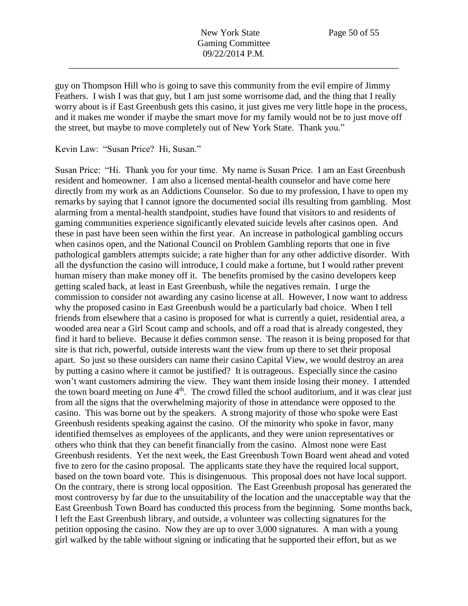guy on Thompson Hill who is going to save this community from the evil empire of Jimmy Feathers. I wish I was that guy, but I am just some worrisome dad, and the thing that I really worry about is if East Greenbush gets this casino, it just gives me very little hope in the process, and it makes me wonder if maybe the smart move for my family would not be to just move off the street, but maybe to move completely out of New York State. Thank you."

Kevin Law: "Susan Price? Hi, Susan."

Susan Price: "Hi. Thank you for your time. My name is Susan Price. I am an East Greenbush resident and homeowner. I am also a licensed mental-health counselor and have come here directly from my work as an Addictions Counselor. So due to my profession, I have to open my remarks by saying that I cannot ignore the documented social ills resulting from gambling. Most alarming from a mental-health standpoint, studies have found that visitors to and residents of gaming communities experience significantly elevated suicide levels after casinos open. And these in past have been seen within the first year. An increase in pathological gambling occurs when casinos open, and the National Council on Problem Gambling reports that one in five pathological gamblers attempts suicide; a rate higher than for any other addictive disorder. With all the dysfunction the casino will introduce, I could make a fortune, but I would rather prevent human misery than make money off it. The benefits promised by the casino developers keep getting scaled back, at least in East Greenbush, while the negatives remain. I urge the commission to consider not awarding any casino license at all. However, I now want to address why the proposed casino in East Greenbush would be a particularly bad choice. When I tell friends from elsewhere that a casino is proposed for what is currently a quiet, residential area, a wooded area near a Girl Scout camp and schools, and off a road that is already congested, they find it hard to believe. Because it defies common sense. The reason it is being proposed for that site is that rich, powerful, outside interests want the view from up there to set their proposal apart. So just so these outsiders can name their casino Capital View, we would destroy an area by putting a casino where it cannot be justified? It is outrageous. Especially since the casino won't want customers admiring the view. They want them inside losing their money. I attended the town board meeting on June  $4<sup>th</sup>$ . The crowd filled the school auditorium, and it was clear just from all the signs that the overwhelming majority of those in attendance were opposed to the casino. This was borne out by the speakers. A strong majority of those who spoke were East Greenbush residents speaking against the casino. Of the minority who spoke in favor, many identified themselves as employees of the applicants, and they were union representatives or others who think that they can benefit financially from the casino. Almost none were East Greenbush residents. Yet the next week, the East Greenbush Town Board went ahead and voted five to zero for the casino proposal. The applicants state they have the required local support, based on the town board vote. This is disingenuous. This proposal does not have local support. On the contrary, there is strong local opposition. The East Greenbush proposal has generated the most controversy by far due to the unsuitability of the location and the unacceptable way that the East Greenbush Town Board has conducted this process from the beginning. Some months back, I left the East Greenbush library, and outside, a volunteer was collecting signatures for the petition opposing the casino. Now they are up to over 3,000 signatures. A man with a young girl walked by the table without signing or indicating that he supported their effort, but as we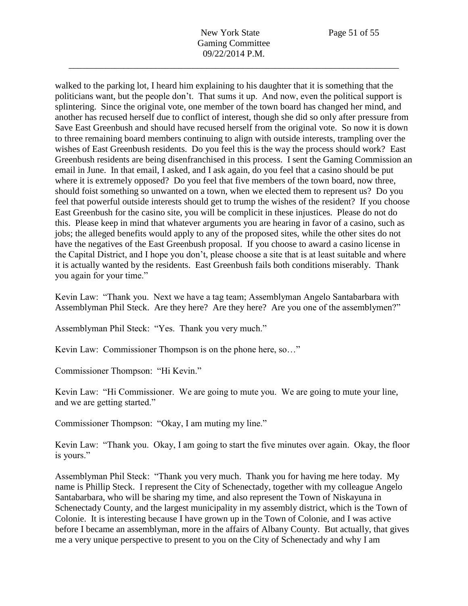New York State Page 51 of 55 Gaming Committee 09/22/2014 P.M.

\_\_\_\_\_\_\_\_\_\_\_\_\_\_\_\_\_\_\_\_\_\_\_\_\_\_\_\_\_\_\_\_\_\_\_\_\_\_\_\_\_\_\_\_\_\_\_\_\_\_\_\_\_\_\_\_\_\_\_\_\_\_\_\_\_\_\_\_\_\_\_\_

walked to the parking lot, I heard him explaining to his daughter that it is something that the politicians want, but the people don't. That sums it up. And now, even the political support is splintering. Since the original vote, one member of the town board has changed her mind, and another has recused herself due to conflict of interest, though she did so only after pressure from Save East Greenbush and should have recused herself from the original vote. So now it is down to three remaining board members continuing to align with outside interests, trampling over the wishes of East Greenbush residents. Do you feel this is the way the process should work? East Greenbush residents are being disenfranchised in this process. I sent the Gaming Commission an email in June. In that email, I asked, and I ask again, do you feel that a casino should be put where it is extremely opposed? Do you feel that five members of the town board, now three, should foist something so unwanted on a town, when we elected them to represent us? Do you feel that powerful outside interests should get to trump the wishes of the resident? If you choose East Greenbush for the casino site, you will be complicit in these injustices. Please do not do this. Please keep in mind that whatever arguments you are hearing in favor of a casino, such as jobs; the alleged benefits would apply to any of the proposed sites, while the other sites do not have the negatives of the East Greenbush proposal. If you choose to award a casino license in the Capital District, and I hope you don't, please choose a site that is at least suitable and where it is actually wanted by the residents. East Greenbush fails both conditions miserably. Thank you again for your time."

Kevin Law: "Thank you. Next we have a tag team; Assemblyman Angelo Santabarbara with Assemblyman Phil Steck. Are they here? Are they here? Are you one of the assemblymen?"

Assemblyman Phil Steck: "Yes. Thank you very much."

Kevin Law: Commissioner Thompson is on the phone here, so…"

Commissioner Thompson: "Hi Kevin."

Kevin Law: "Hi Commissioner. We are going to mute you. We are going to mute your line, and we are getting started."

Commissioner Thompson: "Okay, I am muting my line."

Kevin Law: "Thank you. Okay, I am going to start the five minutes over again. Okay, the floor is yours."

Assemblyman Phil Steck: "Thank you very much. Thank you for having me here today. My name is Phillip Steck. I represent the City of Schenectady, together with my colleague Angelo Santabarbara, who will be sharing my time, and also represent the Town of Niskayuna in Schenectady County, and the largest municipality in my assembly district, which is the Town of Colonie. It is interesting because I have grown up in the Town of Colonie, and I was active before I became an assemblyman, more in the affairs of Albany County. But actually, that gives me a very unique perspective to present to you on the City of Schenectady and why I am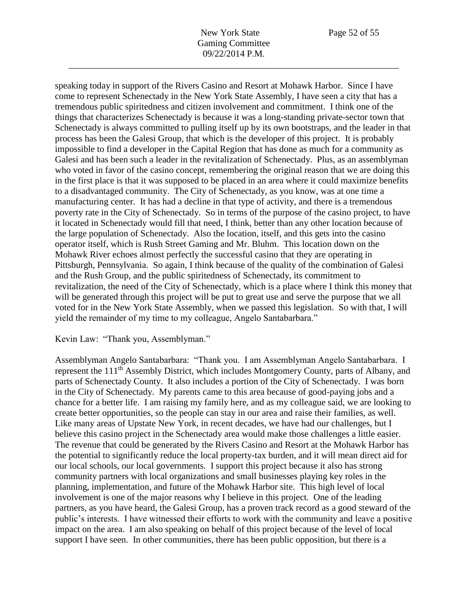New York State Page 52 of 55 Gaming Committee 09/22/2014 P.M.

\_\_\_\_\_\_\_\_\_\_\_\_\_\_\_\_\_\_\_\_\_\_\_\_\_\_\_\_\_\_\_\_\_\_\_\_\_\_\_\_\_\_\_\_\_\_\_\_\_\_\_\_\_\_\_\_\_\_\_\_\_\_\_\_\_\_\_\_\_\_\_\_

speaking today in support of the Rivers Casino and Resort at Mohawk Harbor. Since I have come to represent Schenectady in the New York State Assembly, I have seen a city that has a tremendous public spiritedness and citizen involvement and commitment. I think one of the things that characterizes Schenectady is because it was a long-standing private-sector town that Schenectady is always committed to pulling itself up by its own bootstraps, and the leader in that process has been the Galesi Group, that which is the developer of this project. It is probably impossible to find a developer in the Capital Region that has done as much for a community as Galesi and has been such a leader in the revitalization of Schenectady. Plus, as an assemblyman who voted in favor of the casino concept, remembering the original reason that we are doing this in the first place is that it was supposed to be placed in an area where it could maximize benefits to a disadvantaged community. The City of Schenectady, as you know, was at one time a manufacturing center. It has had a decline in that type of activity, and there is a tremendous poverty rate in the City of Schenectady. So in terms of the purpose of the casino project, to have it located in Schenectady would fill that need, I think, better than any other location because of the large population of Schenectady. Also the location, itself, and this gets into the casino operator itself, which is Rush Street Gaming and Mr. Bluhm. This location down on the Mohawk River echoes almost perfectly the successful casino that they are operating in Pittsburgh, Pennsylvania. So again, I think because of the quality of the combination of Galesi and the Rush Group, and the public spiritedness of Schenectady, its commitment to revitalization, the need of the City of Schenectady, which is a place where I think this money that will be generated through this project will be put to great use and serve the purpose that we all voted for in the New York State Assembly, when we passed this legislation. So with that, I will yield the remainder of my time to my colleague, Angelo Santabarbara."

Kevin Law: "Thank you, Assemblyman."

Assemblyman Angelo Santabarbara: "Thank you. I am Assemblyman Angelo Santabarbara. I represent the 111<sup>th</sup> Assembly District, which includes Montgomery County, parts of Albany, and parts of Schenectady County. It also includes a portion of the City of Schenectady. I was born in the City of Schenectady. My parents came to this area because of good-paying jobs and a chance for a better life. I am raising my family here, and as my colleague said, we are looking to create better opportunities, so the people can stay in our area and raise their families, as well. Like many areas of Upstate New York, in recent decades, we have had our challenges, but I believe this casino project in the Schenectady area would make those challenges a little easier. The revenue that could be generated by the Rivers Casino and Resort at the Mohawk Harbor has the potential to significantly reduce the local property-tax burden, and it will mean direct aid for our local schools, our local governments. I support this project because it also has strong community partners with local organizations and small businesses playing key roles in the planning, implementation, and future of the Mohawk Harbor site. This high level of local involvement is one of the major reasons why I believe in this project. One of the leading partners, as you have heard, the Galesi Group, has a proven track record as a good steward of the public's interests. I have witnessed their efforts to work with the community and leave a positive impact on the area. I am also speaking on behalf of this project because of the level of local support I have seen. In other communities, there has been public opposition, but there is a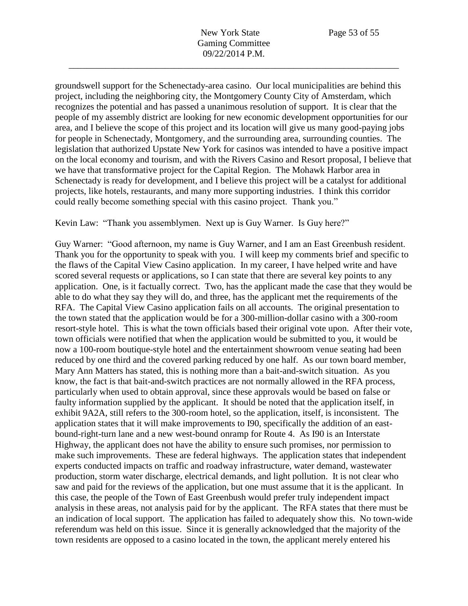groundswell support for the Schenectady-area casino. Our local municipalities are behind this project, including the neighboring city, the Montgomery County City of Amsterdam, which recognizes the potential and has passed a unanimous resolution of support. It is clear that the people of my assembly district are looking for new economic development opportunities for our area, and I believe the scope of this project and its location will give us many good-paying jobs for people in Schenectady, Montgomery, and the surrounding area, surrounding counties. The legislation that authorized Upstate New York for casinos was intended to have a positive impact on the local economy and tourism, and with the Rivers Casino and Resort proposal, I believe that we have that transformative project for the Capital Region. The Mohawk Harbor area in Schenectady is ready for development, and I believe this project will be a catalyst for additional projects, like hotels, restaurants, and many more supporting industries. I think this corridor could really become something special with this casino project. Thank you."

Kevin Law: "Thank you assemblymen. Next up is Guy Warner. Is Guy here?"

Guy Warner: "Good afternoon, my name is Guy Warner, and I am an East Greenbush resident. Thank you for the opportunity to speak with you. I will keep my comments brief and specific to the flaws of the Capital View Casino application. In my career, I have helped write and have scored several requests or applications, so I can state that there are several key points to any application. One, is it factually correct. Two, has the applicant made the case that they would be able to do what they say they will do, and three, has the applicant met the requirements of the RFA. The Capital View Casino application fails on all accounts. The original presentation to the town stated that the application would be for a 300-million-dollar casino with a 300-room resort-style hotel. This is what the town officials based their original vote upon. After their vote, town officials were notified that when the application would be submitted to you, it would be now a 100-room boutique-style hotel and the entertainment showroom venue seating had been reduced by one third and the covered parking reduced by one half. As our town board member, Mary Ann Matters has stated, this is nothing more than a bait-and-switch situation. As you know, the fact is that bait-and-switch practices are not normally allowed in the RFA process, particularly when used to obtain approval, since these approvals would be based on false or faulty information supplied by the applicant. It should be noted that the application itself, in exhibit 9A2A, still refers to the 300-room hotel, so the application, itself, is inconsistent. The application states that it will make improvements to I90, specifically the addition of an eastbound-right-turn lane and a new west-bound onramp for Route 4. As I90 is an Interstate Highway, the applicant does not have the ability to ensure such promises, nor permission to make such improvements. These are federal highways. The application states that independent experts conducted impacts on traffic and roadway infrastructure, water demand, wastewater production, storm water discharge, electrical demands, and light pollution. It is not clear who saw and paid for the reviews of the application, but one must assume that it is the applicant. In this case, the people of the Town of East Greenbush would prefer truly independent impact analysis in these areas, not analysis paid for by the applicant. The RFA states that there must be an indication of local support. The application has failed to adequately show this. No town-wide referendum was held on this issue. Since it is generally acknowledged that the majority of the town residents are opposed to a casino located in the town, the applicant merely entered his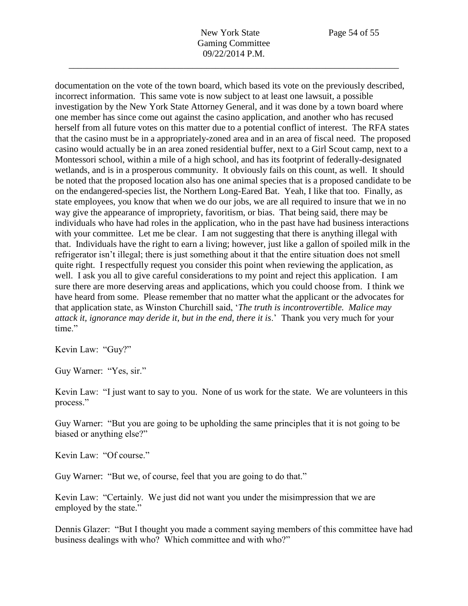documentation on the vote of the town board, which based its vote on the previously described, incorrect information. This same vote is now subject to at least one lawsuit, a possible investigation by the New York State Attorney General, and it was done by a town board where one member has since come out against the casino application, and another who has recused herself from all future votes on this matter due to a potential conflict of interest. The RFA states that the casino must be in a appropriately-zoned area and in an area of fiscal need. The proposed casino would actually be in an area zoned residential buffer, next to a Girl Scout camp, next to a Montessori school, within a mile of a high school, and has its footprint of federally-designated wetlands, and is in a prosperous community. It obviously fails on this count, as well. It should be noted that the proposed location also has one animal species that is a proposed candidate to be on the endangered-species list, the Northern Long-Eared Bat. Yeah, I like that too. Finally, as state employees, you know that when we do our jobs, we are all required to insure that we in no way give the appearance of impropriety, favoritism, or bias. That being said, there may be individuals who have had roles in the application, who in the past have had business interactions with your committee. Let me be clear. I am not suggesting that there is anything illegal with that. Individuals have the right to earn a living; however, just like a gallon of spoiled milk in the refrigerator isn't illegal; there is just something about it that the entire situation does not smell quite right. I respectfully request you consider this point when reviewing the application, as well. I ask you all to give careful considerations to my point and reject this application. I am sure there are more deserving areas and applications, which you could choose from. I think we have heard from some. Please remember that no matter what the applicant or the advocates for that application state, as Winston Churchill said, '*The truth is incontrovertible. Malice may attack it, ignorance may deride it, but in the end, there it is*.' Thank you very much for your time."

Kevin Law: "Guy?"

Guy Warner: "Yes, sir."

Kevin Law: "I just want to say to you. None of us work for the state. We are volunteers in this process."

Guy Warner: "But you are going to be upholding the same principles that it is not going to be biased or anything else?"

Kevin Law: "Of course."

Guy Warner: "But we, of course, feel that you are going to do that."

Kevin Law: "Certainly. We just did not want you under the misimpression that we are employed by the state."

Dennis Glazer: "But I thought you made a comment saying members of this committee have had business dealings with who? Which committee and with who?"